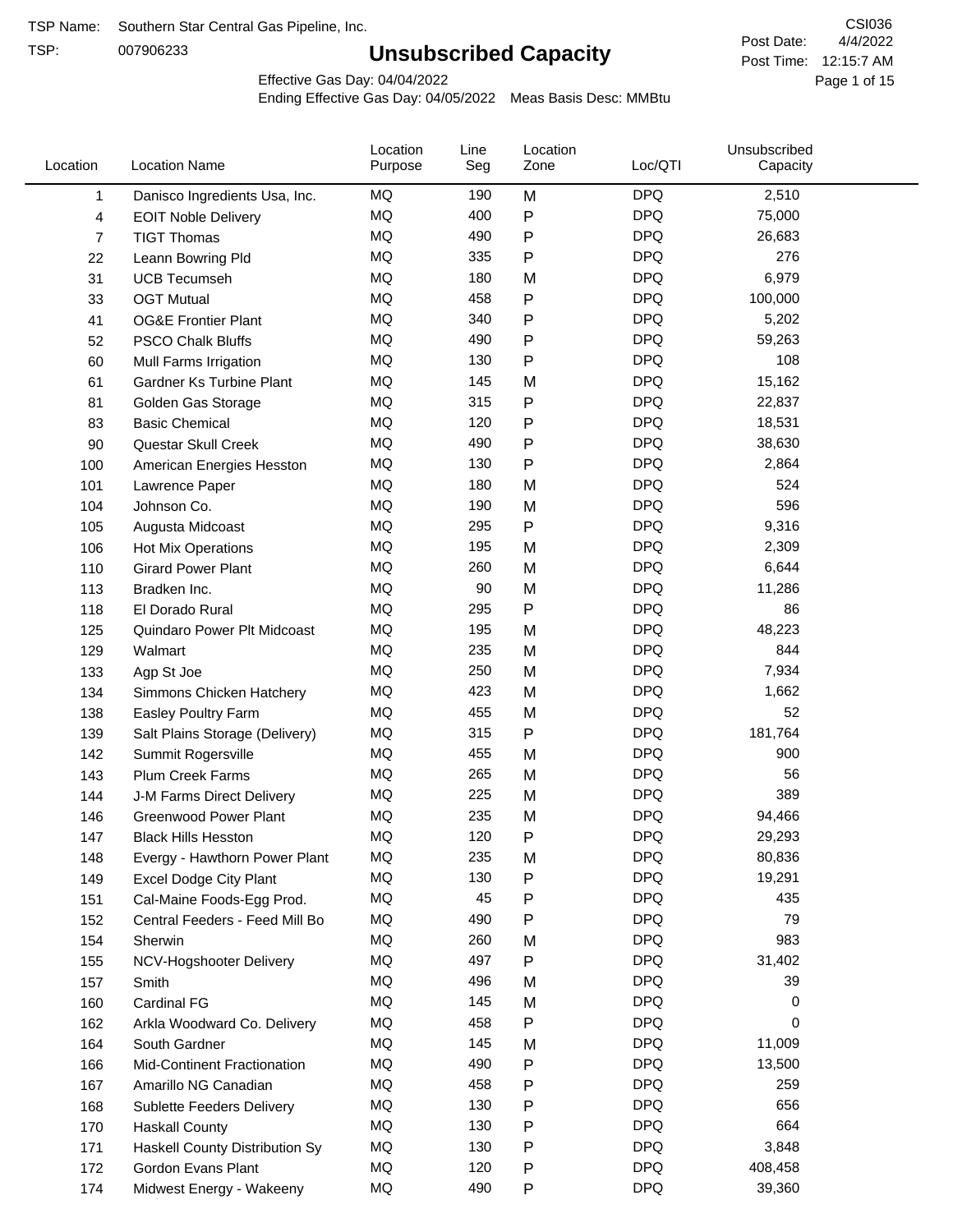TSP:

## **Unsubscribed Capacity**

4/4/2022 Page 1 of 15 Post Time: 12:15:7 AM CSI036 Post Date:

Effective Gas Day: 04/04/2022

| Location       | <b>Location Name</b>               | Location<br>Purpose | Line<br>Seg | Location<br>Zone | Loc/QTI    | Unsubscribed<br>Capacity |  |
|----------------|------------------------------------|---------------------|-------------|------------------|------------|--------------------------|--|
| 1              | Danisco Ingredients Usa, Inc.      | MQ                  | 190         | M                | <b>DPQ</b> | 2,510                    |  |
| 4              | <b>EOIT Noble Delivery</b>         | <b>MQ</b>           | 400         | $\mathsf{P}$     | <b>DPQ</b> | 75,000                   |  |
| $\overline{7}$ | <b>TIGT Thomas</b>                 | <b>MQ</b>           | 490         | ${\sf P}$        | <b>DPQ</b> | 26,683                   |  |
| 22             | Leann Bowring Pld                  | <b>MQ</b>           | 335         | $\mathsf{P}$     | <b>DPQ</b> | 276                      |  |
| 31             | <b>UCB Tecumseh</b>                | <b>MQ</b>           | 180         | M                | <b>DPQ</b> | 6,979                    |  |
| 33             | <b>OGT Mutual</b>                  | <b>MQ</b>           | 458         | $\mathsf{P}$     | <b>DPQ</b> | 100,000                  |  |
| 41             | <b>OG&amp;E Frontier Plant</b>     | MQ                  | 340         | $\mathsf{P}$     | <b>DPQ</b> | 5,202                    |  |
| 52             | <b>PSCO Chalk Bluffs</b>           | <b>MQ</b>           | 490         | ${\sf P}$        | <b>DPQ</b> | 59,263                   |  |
| 60             | Mull Farms Irrigation              | <b>MQ</b>           | 130         | $\mathsf{P}$     | <b>DPQ</b> | 108                      |  |
| 61             | Gardner Ks Turbine Plant           | MQ                  | 145         | M                | <b>DPQ</b> | 15,162                   |  |
| 81             | Golden Gas Storage                 | MQ                  | 315         | $\mathsf{P}$     | <b>DPQ</b> | 22,837                   |  |
| 83             | <b>Basic Chemical</b>              | <b>MQ</b>           | 120         | $\mathsf{P}$     | <b>DPQ</b> | 18,531                   |  |
| 90             | Questar Skull Creek                | <b>MQ</b>           | 490         | $\mathsf{P}$     | <b>DPQ</b> | 38,630                   |  |
| 100            | American Energies Hesston          | <b>MQ</b>           | 130         | $\mathsf{P}$     | <b>DPQ</b> | 2,864                    |  |
| 101            | Lawrence Paper                     | MQ                  | 180         | M                | <b>DPQ</b> | 524                      |  |
| 104            | Johnson Co.                        | MQ                  | 190         | M                | <b>DPQ</b> | 596                      |  |
| 105            | Augusta Midcoast                   | <b>MQ</b>           | 295         | ${\sf P}$        | <b>DPQ</b> | 9,316                    |  |
| 106            | Hot Mix Operations                 | MQ                  | 195         | M                | <b>DPQ</b> | 2,309                    |  |
| 110            | <b>Girard Power Plant</b>          | MQ                  | 260         | M                | <b>DPQ</b> | 6,644                    |  |
| 113            | Bradken Inc.                       | MQ                  | 90          | M                | <b>DPQ</b> | 11,286                   |  |
| 118            | El Dorado Rural                    | <b>MQ</b>           | 295         | $\mathsf{P}$     | <b>DPQ</b> | 86                       |  |
| 125            | Quindaro Power Plt Midcoast        | <b>MQ</b>           | 195         | M                | <b>DPQ</b> | 48,223                   |  |
|                |                                    | <b>MQ</b>           | 235         | M                | <b>DPQ</b> | 844                      |  |
| 129            | Walmart                            | <b>MQ</b>           | 250         | M                | <b>DPQ</b> | 7,934                    |  |
| 133            | Agp St Joe                         | MQ                  | 423         |                  | <b>DPQ</b> | 1,662                    |  |
| 134            | Simmons Chicken Hatchery           | MQ                  | 455         | M                | <b>DPQ</b> | 52                       |  |
| 138            | Easley Poultry Farm                |                     |             | M                | <b>DPQ</b> |                          |  |
| 139            | Salt Plains Storage (Delivery)     | MQ                  | 315         | ${\sf P}$        |            | 181,764                  |  |
| 142            | Summit Rogersville                 | MQ                  | 455         | M                | <b>DPQ</b> | 900                      |  |
| 143            | Plum Creek Farms                   | <b>MQ</b>           | 265         | M                | <b>DPQ</b> | 56                       |  |
| 144            | J-M Farms Direct Delivery          | MQ                  | 225         | M                | <b>DPQ</b> | 389                      |  |
| 146            | <b>Greenwood Power Plant</b>       | <b>MQ</b>           | 235         | M                | <b>DPQ</b> | 94,466                   |  |
| 147            | <b>Black Hills Hesston</b>         | MQ                  | 120         | ${\sf P}$        | <b>DPQ</b> | 29,293                   |  |
| 148            | Evergy - Hawthorn Power Plant      | ΜQ                  | 235         | M                | <b>DPQ</b> | 80,836                   |  |
| 149            | <b>Excel Dodge City Plant</b>      | MQ                  | 130         | ${\sf P}$        | <b>DPQ</b> | 19,291                   |  |
| 151            | Cal-Maine Foods-Egg Prod.          | MQ                  | 45          | $\mathsf{P}$     | <b>DPQ</b> | 435                      |  |
| 152            | Central Feeders - Feed Mill Bo     | MQ                  | 490         | ${\sf P}$        | <b>DPQ</b> | 79                       |  |
| 154            | Sherwin                            | MQ                  | 260         | M                | <b>DPQ</b> | 983                      |  |
| 155            | NCV-Hogshooter Delivery            | MQ                  | 497         | P                | <b>DPQ</b> | 31,402                   |  |
| 157            | Smith                              | MQ                  | 496         | M                | <b>DPQ</b> | 39                       |  |
| 160            | <b>Cardinal FG</b>                 | <b>MQ</b>           | 145         | M                | <b>DPQ</b> | 0                        |  |
| 162            | Arkla Woodward Co. Delivery        | MQ                  | 458         | ${\sf P}$        | <b>DPQ</b> | 0                        |  |
| 164            | South Gardner                      | MQ                  | 145         | M                | <b>DPQ</b> | 11,009                   |  |
| 166            | <b>Mid-Continent Fractionation</b> | MQ                  | 490         | ${\sf P}$        | <b>DPQ</b> | 13,500                   |  |
| 167            | Amarillo NG Canadian               | MQ                  | 458         | P                | <b>DPQ</b> | 259                      |  |
| 168            | <b>Sublette Feeders Delivery</b>   | MQ                  | 130         | $\mathsf{P}$     | <b>DPQ</b> | 656                      |  |
| 170            | <b>Haskall County</b>              | MQ                  | 130         | $\mathsf{P}$     | <b>DPQ</b> | 664                      |  |
| 171            | Haskell County Distribution Sy     | MQ                  | 130         | $\mathsf{P}$     | <b>DPQ</b> | 3,848                    |  |
| 172            | Gordon Evans Plant                 | MQ                  | 120         | ${\sf P}$        | <b>DPQ</b> | 408,458                  |  |
| 174            | Midwest Energy - Wakeeny           | MQ                  | 490         | P                | <b>DPQ</b> | 39,360                   |  |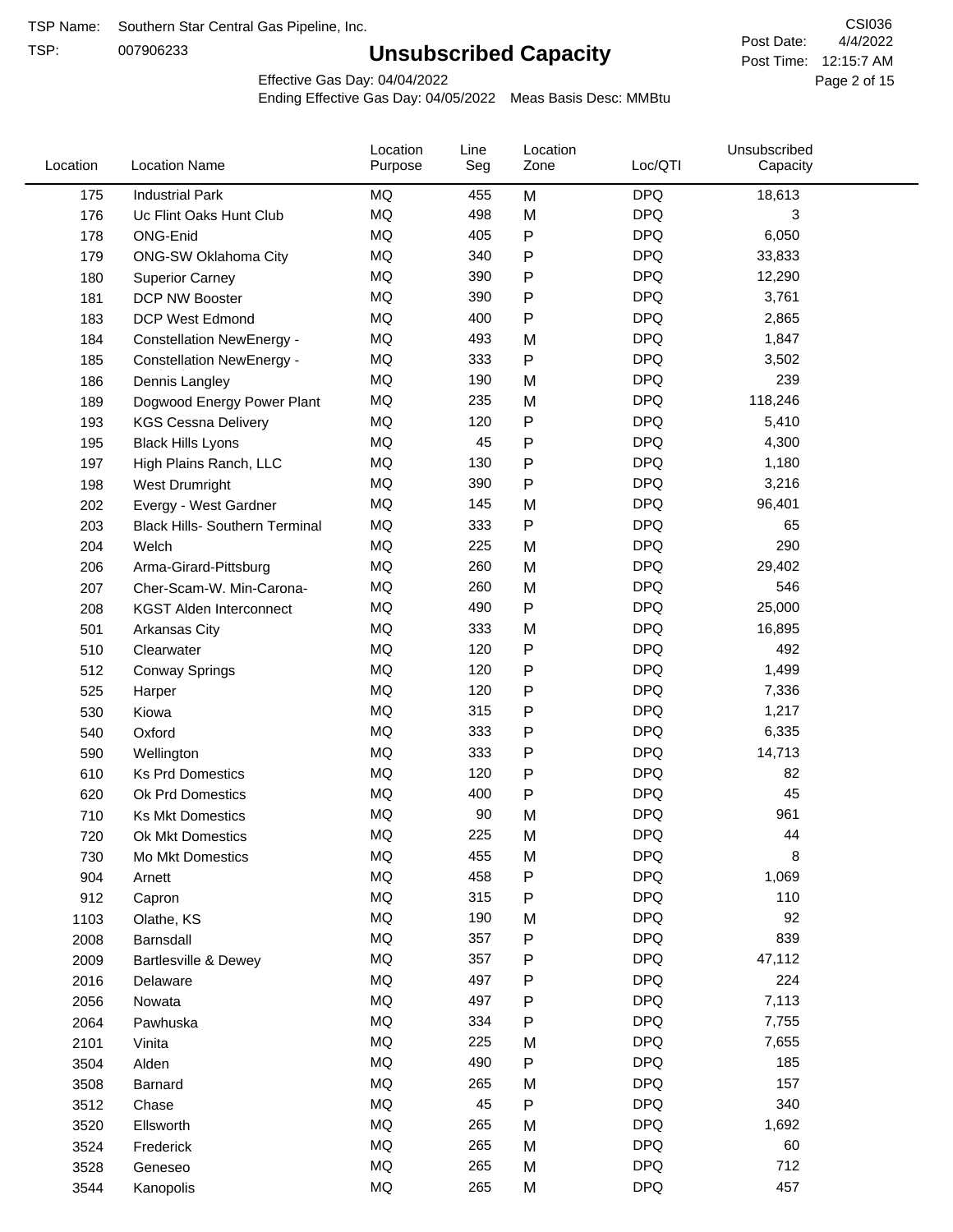TSP:

## **Unsubscribed Capacity**

4/4/2022 Page 2 of 15 Post Time: 12:15:7 AM CSI036 Post Date:

Effective Gas Day: 04/04/2022

| Location | <b>Location Name</b>                  | Location<br>Purpose | Line<br>Seg | Location<br>Zone | Loc/QTI    | Unsubscribed<br>Capacity |  |
|----------|---------------------------------------|---------------------|-------------|------------------|------------|--------------------------|--|
| 175      | <b>Industrial Park</b>                | MQ                  | 455         | M                | <b>DPQ</b> | 18,613                   |  |
| 176      | Uc Flint Oaks Hunt Club               | MQ                  | 498         | M                | <b>DPQ</b> | 3                        |  |
| 178      | ONG-Enid                              | MQ                  | 405         | P                | <b>DPQ</b> | 6,050                    |  |
| 179      | ONG-SW Oklahoma City                  | MQ                  | 340         | P                | <b>DPQ</b> | 33,833                   |  |
| 180      | <b>Superior Carney</b>                | MQ                  | 390         | P                | <b>DPQ</b> | 12,290                   |  |
| 181      | <b>DCP NW Booster</b>                 | <b>MQ</b>           | 390         | P                | <b>DPQ</b> | 3,761                    |  |
| 183      | <b>DCP West Edmond</b>                | <b>MQ</b>           | 400         | ${\sf P}$        | <b>DPQ</b> | 2,865                    |  |
| 184      | <b>Constellation NewEnergy -</b>      | MQ                  | 493         | M                | <b>DPQ</b> | 1,847                    |  |
| 185      | <b>Constellation NewEnergy -</b>      | MQ                  | 333         | P                | <b>DPQ</b> | 3,502                    |  |
| 186      | Dennis Langley                        | MQ                  | 190         | M                | <b>DPQ</b> | 239                      |  |
| 189      | Dogwood Energy Power Plant            | MQ                  | 235         | M                | <b>DPQ</b> | 118,246                  |  |
| 193      | <b>KGS Cessna Delivery</b>            | MQ                  | 120         | P                | <b>DPQ</b> | 5,410                    |  |
| 195      | <b>Black Hills Lyons</b>              | MQ                  | 45          | P                | <b>DPQ</b> | 4,300                    |  |
| 197      | High Plains Ranch, LLC                | <b>MQ</b>           | 130         | P                | <b>DPQ</b> | 1,180                    |  |
| 198      | West Drumright                        | <b>MQ</b>           | 390         | P                | <b>DPQ</b> | 3,216                    |  |
| 202      | Evergy - West Gardner                 | <b>MQ</b>           | 145         | M                | <b>DPQ</b> | 96,401                   |  |
| 203      | <b>Black Hills- Southern Terminal</b> | MQ                  | 333         | P                | <b>DPQ</b> | 65                       |  |
| 204      | Welch                                 | MQ                  | 225         | M                | <b>DPQ</b> | 290                      |  |
| 206      | Arma-Girard-Pittsburg                 | MQ                  | 260         | M                | <b>DPQ</b> | 29,402                   |  |
| 207      | Cher-Scam-W. Min-Carona-              | MQ                  | 260         | M                | <b>DPQ</b> | 546                      |  |
| 208      | <b>KGST Alden Interconnect</b>        | MQ                  | 490         | P                | <b>DPQ</b> | 25,000                   |  |
| 501      | <b>Arkansas City</b>                  | MQ                  | 333         | M                | <b>DPQ</b> | 16,895                   |  |
| 510      | Clearwater                            | <b>MQ</b>           | 120         | P                | <b>DPQ</b> | 492                      |  |
| 512      | <b>Conway Springs</b>                 | <b>MQ</b>           | 120         | P                | <b>DPQ</b> | 1,499                    |  |
| 525      | Harper                                | <b>MQ</b>           | 120         | P                | <b>DPQ</b> | 7,336                    |  |
| 530      | Kiowa                                 | MQ                  | 315         | P                | <b>DPQ</b> | 1,217                    |  |
| 540      | Oxford                                | MQ                  | 333         | P                | <b>DPQ</b> | 6,335                    |  |
| 590      | Wellington                            | <b>MQ</b>           | 333         | P                | <b>DPQ</b> | 14,713                   |  |
| 610      | <b>Ks Prd Domestics</b>               | <b>MQ</b>           | 120         | P                | <b>DPQ</b> | 82                       |  |
| 620      | Ok Prd Domestics                      | MQ                  | 400         | P                | <b>DPQ</b> | 45                       |  |
| 710      | <b>Ks Mkt Domestics</b>               | <b>MQ</b>           | 90          | M                | <b>DPQ</b> | 961                      |  |
| 720      | Ok Mkt Domestics                      | MQ                  | 225         | M                | <b>DPQ</b> | 44                       |  |
| 730      | Mo Mkt Domestics                      | MQ                  | 455         | M                | <b>DPQ</b> | 8                        |  |
| 904      | Arnett                                | $\sf{MQ}$           | 458         | ${\sf P}$        | <b>DPQ</b> | 1,069                    |  |
| 912      | Capron                                | $\sf{MQ}$           | 315         | P                | <b>DPQ</b> | 110                      |  |
| 1103     | Olathe, KS                            | MQ                  | 190         | M                | <b>DPQ</b> | 92                       |  |
| 2008     | Barnsdall                             | MQ                  | 357         | P                | <b>DPQ</b> | 839                      |  |
| 2009     | Bartlesville & Dewey                  | MQ                  | 357         | P                | <b>DPQ</b> | 47,112                   |  |
| 2016     | Delaware                              | MQ                  | 497         | P                | <b>DPQ</b> | 224                      |  |
| 2056     | Nowata                                | $\sf{MQ}$           | 497         | P                | <b>DPQ</b> | 7,113                    |  |
| 2064     | Pawhuska                              | MQ                  | 334         | Ρ                | <b>DPQ</b> | 7,755                    |  |
| 2101     | Vinita                                | MQ                  | 225         | M                | <b>DPQ</b> | 7,655                    |  |
| 3504     | Alden                                 | MQ                  | 490         | P                | <b>DPQ</b> | 185                      |  |
| 3508     | Barnard                               | $\sf{MQ}$           | 265         | M                | <b>DPQ</b> | 157                      |  |
| 3512     | Chase                                 | <b>MQ</b>           | 45          | P                | <b>DPQ</b> | 340                      |  |
| 3520     | Ellsworth                             | MQ                  | 265         | M                | <b>DPQ</b> | 1,692                    |  |
| 3524     | Frederick                             | MQ                  | 265         | M                | <b>DPQ</b> | 60                       |  |
| 3528     | Geneseo                               | MQ                  | 265         | M                | <b>DPQ</b> | 712                      |  |
| 3544     | Kanopolis                             | $\sf{MQ}$           | 265         | M                | <b>DPQ</b> | 457                      |  |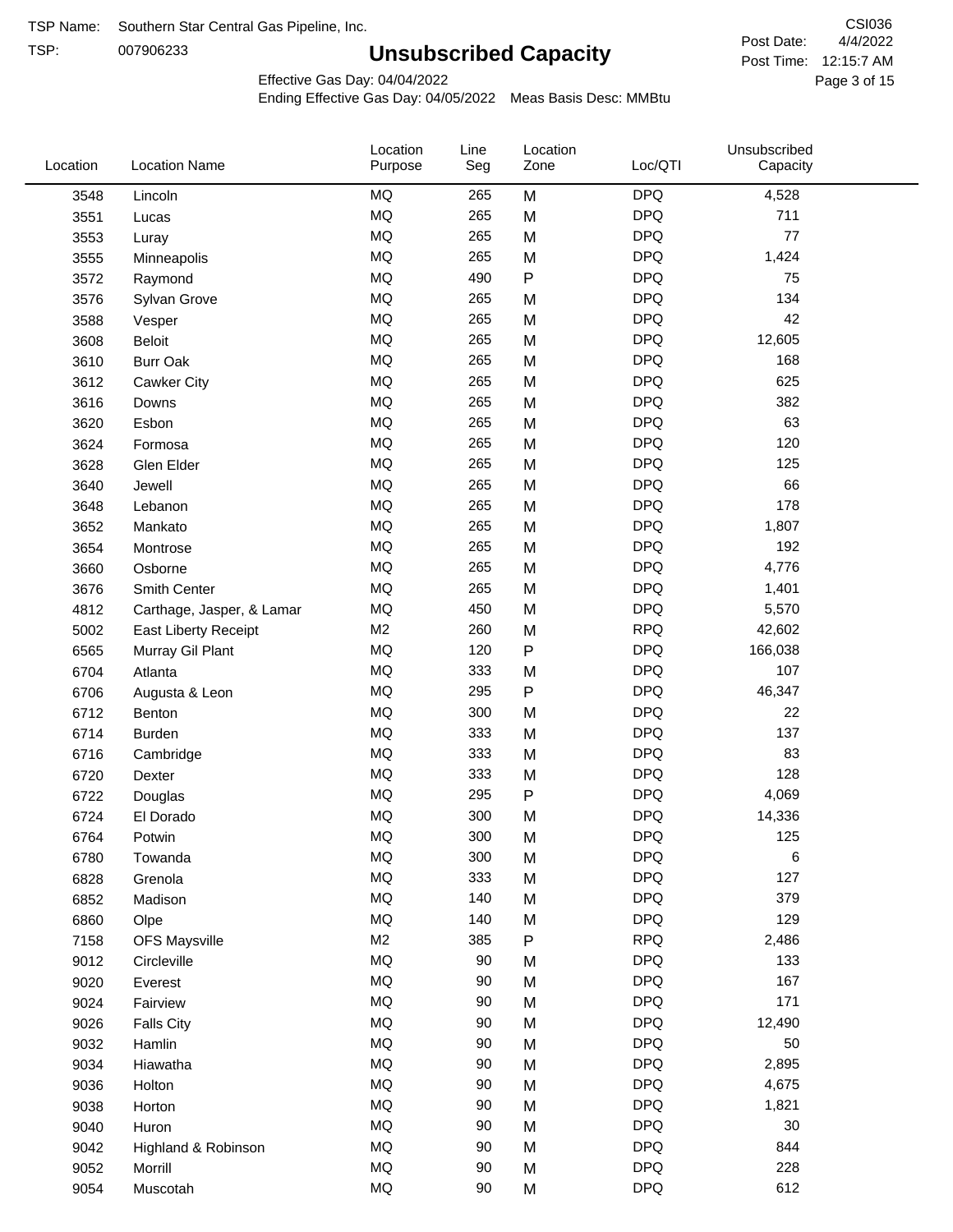TSP: 

# **Unsubscribed Capacity**

4/4/2022 Page 3 of 15 Post Time: 12:15:7 AM CSI036 Post Date:

Effective Gas Day: 04/04/2022

| Location | <b>Location Name</b>      | Location<br>Purpose | Line<br>Seg | Location<br>Zone | Loc/QTI    | Unsubscribed<br>Capacity |  |
|----------|---------------------------|---------------------|-------------|------------------|------------|--------------------------|--|
| 3548     | Lincoln                   | <b>MQ</b>           | 265         | M                | <b>DPQ</b> | 4,528                    |  |
| 3551     | Lucas                     | MQ                  | 265         | M                | <b>DPQ</b> | 711                      |  |
| 3553     | Luray                     | <b>MQ</b>           | 265         | M                | <b>DPQ</b> | 77                       |  |
| 3555     | Minneapolis               | <b>MQ</b>           | 265         | M                | <b>DPQ</b> | 1,424                    |  |
| 3572     | Raymond                   | MQ                  | 490         | $\sf P$          | <b>DPQ</b> | 75                       |  |
| 3576     | Sylvan Grove              | <b>MQ</b>           | 265         | M                | <b>DPQ</b> | 134                      |  |
| 3588     | Vesper                    | MQ                  | 265         | M                | <b>DPQ</b> | 42                       |  |
| 3608     | <b>Beloit</b>             | <b>MQ</b>           | 265         | M                | <b>DPQ</b> | 12,605                   |  |
| 3610     | <b>Burr Oak</b>           | MQ                  | 265         | M                | <b>DPQ</b> | 168                      |  |
| 3612     | Cawker City               | <b>MQ</b>           | 265         | M                | <b>DPQ</b> | 625                      |  |
| 3616     | Downs                     | MQ                  | 265         | M                | <b>DPQ</b> | 382                      |  |
| 3620     | Esbon                     | MQ                  | 265         | M                | <b>DPQ</b> | 63                       |  |
| 3624     | Formosa                   | <b>MQ</b>           | 265         | M                | <b>DPQ</b> | 120                      |  |
| 3628     | Glen Elder                | <b>MQ</b>           | 265         | M                | <b>DPQ</b> | 125                      |  |
| 3640     | Jewell                    | <b>MQ</b>           | 265         | M                | <b>DPQ</b> | 66                       |  |
| 3648     | Lebanon                   | MQ                  | 265         | M                | <b>DPQ</b> | 178                      |  |
| 3652     | Mankato                   | MQ                  | 265         | M                | <b>DPQ</b> | 1,807                    |  |
| 3654     | Montrose                  | MQ                  | 265         | M                | <b>DPQ</b> | 192                      |  |
| 3660     | Osborne                   | MQ                  | 265         | M                | <b>DPQ</b> | 4,776                    |  |
| 3676     | Smith Center              | MQ                  | 265         | M                | <b>DPQ</b> | 1,401                    |  |
| 4812     | Carthage, Jasper, & Lamar | MQ                  | 450         | M                | <b>DPQ</b> | 5,570                    |  |
| 5002     | East Liberty Receipt      | M <sub>2</sub>      | 260         | M                | <b>RPQ</b> | 42,602                   |  |
| 6565     | Murray Gil Plant          | MQ                  | 120         | $\mathsf{P}$     | <b>DPQ</b> | 166,038                  |  |
| 6704     | Atlanta                   | <b>MQ</b>           | 333         | M                | <b>DPQ</b> | 107                      |  |
| 6706     | Augusta & Leon            | MQ                  | 295         | ${\sf P}$        | <b>DPQ</b> | 46,347                   |  |
| 6712     | Benton                    | MQ                  | 300         | M                | <b>DPQ</b> | 22                       |  |
| 6714     | <b>Burden</b>             | MQ                  | 333         | M                | <b>DPQ</b> | 137                      |  |
| 6716     | Cambridge                 | MQ                  | 333         | M                | <b>DPQ</b> | 83                       |  |
| 6720     | Dexter                    | <b>MQ</b>           | 333         | M                | <b>DPQ</b> | 128                      |  |
| 6722     | Douglas                   | <b>MQ</b>           | 295         | ${\sf P}$        | <b>DPQ</b> | 4,069                    |  |
| 6724     | El Dorado                 | <b>MQ</b>           | 300         | M                | <b>DPQ</b> | 14,336                   |  |
| 6764     | Potwin                    | <b>MQ</b>           | 300         | M                | <b>DPQ</b> | 125                      |  |
| 6780     | Towanda                   | MQ                  | 300         | M                | <b>DPQ</b> | 6                        |  |
| 6828     | Grenola                   | MQ                  | 333         | M                | <b>DPQ</b> | 127                      |  |
| 6852     | Madison                   | MQ                  | 140         | M                | <b>DPQ</b> | 379                      |  |
| 6860     | Olpe                      | MQ                  | 140         | M                | <b>DPQ</b> | 129                      |  |
| 7158     | <b>OFS Maysville</b>      | M <sub>2</sub>      | 385         | ${\sf P}$        | <b>RPQ</b> | 2,486                    |  |
| 9012     | Circleville               | MQ                  | 90          | M                | <b>DPQ</b> | 133                      |  |
| 9020     | Everest                   | MQ                  | 90          | M                | <b>DPQ</b> | 167                      |  |
| 9024     | Fairview                  | MQ                  | 90          | M                | <b>DPQ</b> | 171                      |  |
| 9026     | <b>Falls City</b>         | MQ                  | 90          | M                | <b>DPQ</b> | 12,490                   |  |
| 9032     | Hamlin                    | MQ                  | 90          | M                | <b>DPQ</b> | 50                       |  |
| 9034     | Hiawatha                  | MQ                  | 90          | M                | <b>DPQ</b> | 2,895                    |  |
| 9036     | Holton                    | <b>MQ</b>           | 90          | M                | <b>DPQ</b> | 4,675                    |  |
| 9038     | Horton                    | <b>MQ</b>           | 90          | M                | <b>DPQ</b> | 1,821                    |  |
| 9040     | Huron                     | MQ                  | 90          | M                | <b>DPQ</b> | 30                       |  |
| 9042     | Highland & Robinson       | MQ                  | 90          | M                | <b>DPQ</b> | 844                      |  |
| 9052     | Morrill                   | $\sf{MQ}$           | 90          | M                | <b>DPQ</b> | 228                      |  |
| 9054     | Muscotah                  | $\sf{MQ}$           | 90          | M                | <b>DPQ</b> | 612                      |  |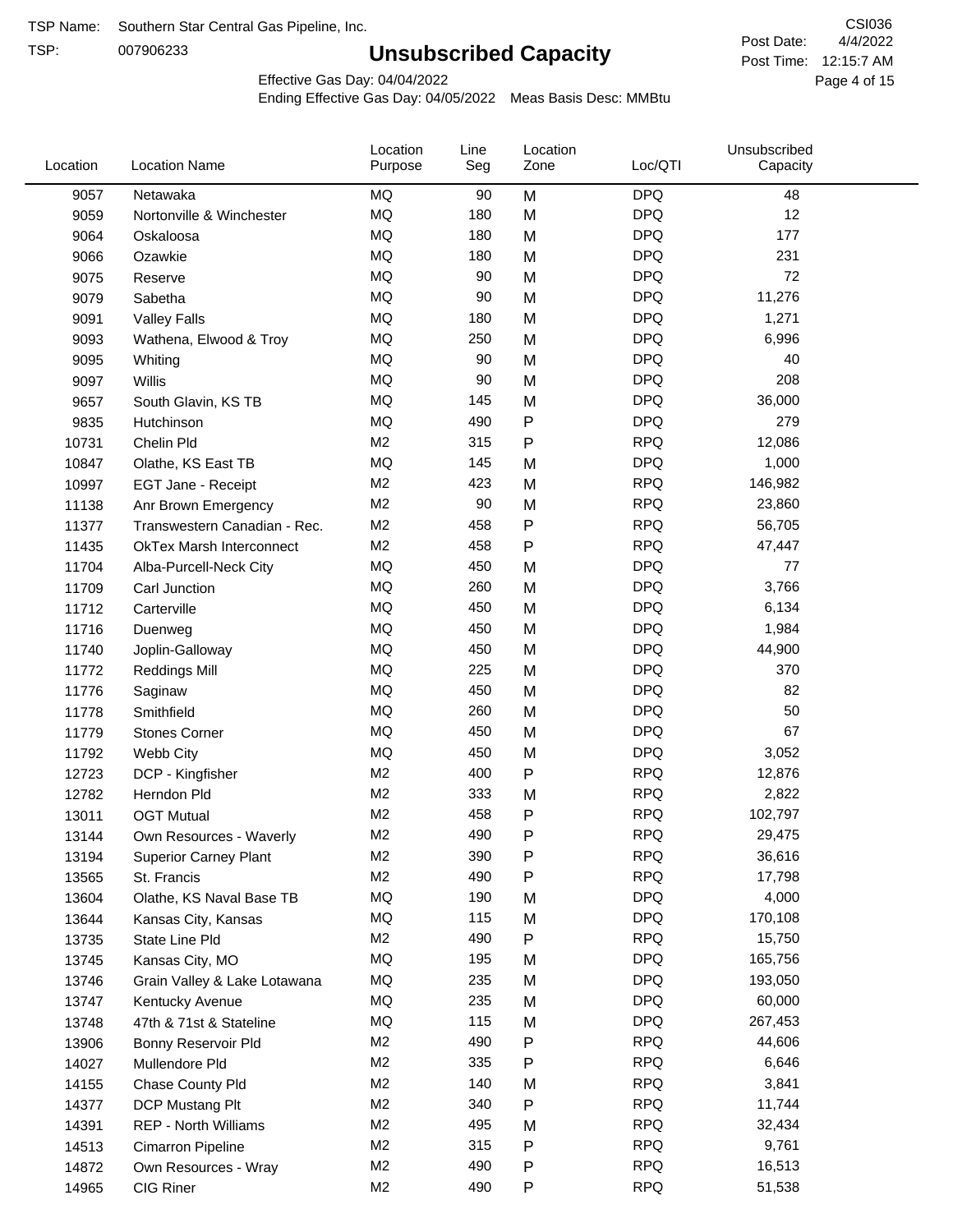TSP:

## **Unsubscribed Capacity**

4/4/2022 Page 4 of 15 Post Time: 12:15:7 AM CSI036 Post Date:

Effective Gas Day: 04/04/2022

| Location | <b>Location Name</b>            | Location<br>Purpose | Line<br>Seg | Location<br>Zone | Loc/QTI    | Unsubscribed<br>Capacity |  |
|----------|---------------------------------|---------------------|-------------|------------------|------------|--------------------------|--|
| 9057     | Netawaka                        | MQ                  | 90          | M                | <b>DPQ</b> | 48                       |  |
| 9059     | Nortonville & Winchester        | MQ                  | 180         | M                | <b>DPQ</b> | 12                       |  |
| 9064     | Oskaloosa                       | MQ                  | 180         | M                | <b>DPQ</b> | 177                      |  |
| 9066     | Ozawkie                         | <b>MQ</b>           | 180         | M                | <b>DPQ</b> | 231                      |  |
| 9075     | Reserve                         | <b>MQ</b>           | 90          | M                | <b>DPQ</b> | 72                       |  |
| 9079     | Sabetha                         | MQ                  | 90          | M                | <b>DPQ</b> | 11,276                   |  |
| 9091     | <b>Valley Falls</b>             | MQ                  | 180         | M                | <b>DPQ</b> | 1,271                    |  |
| 9093     | Wathena, Elwood & Troy          | MQ                  | 250         | M                | <b>DPQ</b> | 6,996                    |  |
| 9095     | Whiting                         | MQ                  | 90          | M                | <b>DPQ</b> | 40                       |  |
| 9097     | Willis                          | <b>MQ</b>           | 90          | M                | <b>DPQ</b> | 208                      |  |
| 9657     | South Glavin, KS TB             | MQ                  | 145         | M                | <b>DPQ</b> | 36,000                   |  |
| 9835     | Hutchinson                      | MQ                  | 490         | Ρ                | <b>DPQ</b> | 279                      |  |
| 10731    | Chelin Pld                      | M <sub>2</sub>      | 315         | P                | <b>RPQ</b> | 12,086                   |  |
| 10847    | Olathe, KS East TB              | <b>MQ</b>           | 145         | M                | <b>DPQ</b> | 1,000                    |  |
| 10997    | EGT Jane - Receipt              | M <sub>2</sub>      | 423         | M                | <b>RPQ</b> | 146,982                  |  |
| 11138    | Anr Brown Emergency             | M <sub>2</sub>      | 90          | M                | <b>RPQ</b> | 23,860                   |  |
| 11377    | Transwestern Canadian - Rec.    | M <sub>2</sub>      | 458         | P                | <b>RPQ</b> | 56,705                   |  |
| 11435    | <b>OkTex Marsh Interconnect</b> | M <sub>2</sub>      | 458         | Ρ                | <b>RPQ</b> | 47,447                   |  |
| 11704    | Alba-Purcell-Neck City          | MQ                  | 450         | M                | <b>DPQ</b> | 77                       |  |
| 11709    | Carl Junction                   | MQ                  | 260         | M                | <b>DPQ</b> | 3,766                    |  |
| 11712    | Carterville                     | MQ                  | 450         | M                | <b>DPQ</b> | 6,134                    |  |
| 11716    | Duenweg                         | <b>MQ</b>           | 450         | M                | <b>DPQ</b> | 1,984                    |  |
| 11740    | Joplin-Galloway                 | MQ                  | 450         | M                | <b>DPQ</b> | 44,900                   |  |
| 11772    | <b>Reddings Mill</b>            | <b>MQ</b>           | 225         | M                | <b>DPQ</b> | 370                      |  |
| 11776    | Saginaw                         | <b>MQ</b>           | 450         | M                | <b>DPQ</b> | 82                       |  |
| 11778    | Smithfield                      | <b>MQ</b>           | 260         | M                | <b>DPQ</b> | 50                       |  |
| 11779    | <b>Stones Corner</b>            | MQ                  | 450         | M                | <b>DPQ</b> | 67                       |  |
| 11792    | Webb City                       | MQ                  | 450         | M                | <b>DPQ</b> | 3,052                    |  |
| 12723    | DCP - Kingfisher                | M <sub>2</sub>      | 400         | P                | <b>RPQ</b> | 12,876                   |  |
| 12782    | Herndon Pld                     | M <sub>2</sub>      | 333         | M                | <b>RPQ</b> | 2,822                    |  |
| 13011    | <b>OGT Mutual</b>               | M <sub>2</sub>      | 458         | Ρ                | <b>RPQ</b> | 102,797                  |  |
| 13144    | Own Resources - Waverly         | M <sub>2</sub>      | 490         | P                | <b>RPQ</b> | 29,475                   |  |
| 13194    | <b>Superior Carney Plant</b>    | M <sub>2</sub>      | 390         | Ρ                | <b>RPQ</b> | 36,616                   |  |
| 13565    | St. Francis                     | M <sub>2</sub>      | 490         | Ρ                | <b>RPQ</b> | 17,798                   |  |
| 13604    | Olathe, KS Naval Base TB        | MQ                  | 190         | M                | <b>DPQ</b> | 4,000                    |  |
| 13644    | Kansas City, Kansas             | MQ                  | 115         | M                | <b>DPQ</b> | 170,108                  |  |
| 13735    | State Line Pld                  | M <sub>2</sub>      | 490         | Ρ                | <b>RPQ</b> | 15,750                   |  |
| 13745    | Kansas City, MO                 | MQ                  | 195         | M                | <b>DPQ</b> | 165,756                  |  |
| 13746    | Grain Valley & Lake Lotawana    | MQ                  | 235         | M                | <b>DPQ</b> | 193,050                  |  |
| 13747    | Kentucky Avenue                 | MQ                  | 235         | M                | <b>DPQ</b> | 60,000                   |  |
| 13748    | 47th & 71st & Stateline         | MQ                  | 115         | M                | <b>DPQ</b> | 267,453                  |  |
| 13906    | Bonny Reservoir Pld             | M <sub>2</sub>      | 490         | Ρ                | <b>RPQ</b> | 44,606                   |  |
| 14027    | Mullendore Pld                  | M <sub>2</sub>      | 335         | Ρ                | <b>RPQ</b> | 6,646                    |  |
| 14155    | Chase County Pld                | M <sub>2</sub>      | 140         | M                | <b>RPQ</b> | 3,841                    |  |
| 14377    | DCP Mustang Plt                 | M <sub>2</sub>      | 340         | Ρ                | <b>RPQ</b> | 11,744                   |  |
| 14391    | <b>REP - North Williams</b>     | M <sub>2</sub>      | 495         | M                | <b>RPQ</b> | 32,434                   |  |
| 14513    | Cimarron Pipeline               | M <sub>2</sub>      | 315         | Ρ                | <b>RPQ</b> | 9,761                    |  |
| 14872    | Own Resources - Wray            | M <sub>2</sub>      | 490         | Ρ                | <b>RPQ</b> | 16,513                   |  |
| 14965    | CIG Riner                       | M <sub>2</sub>      | 490         | P                | <b>RPQ</b> | 51,538                   |  |
|          |                                 |                     |             |                  |            |                          |  |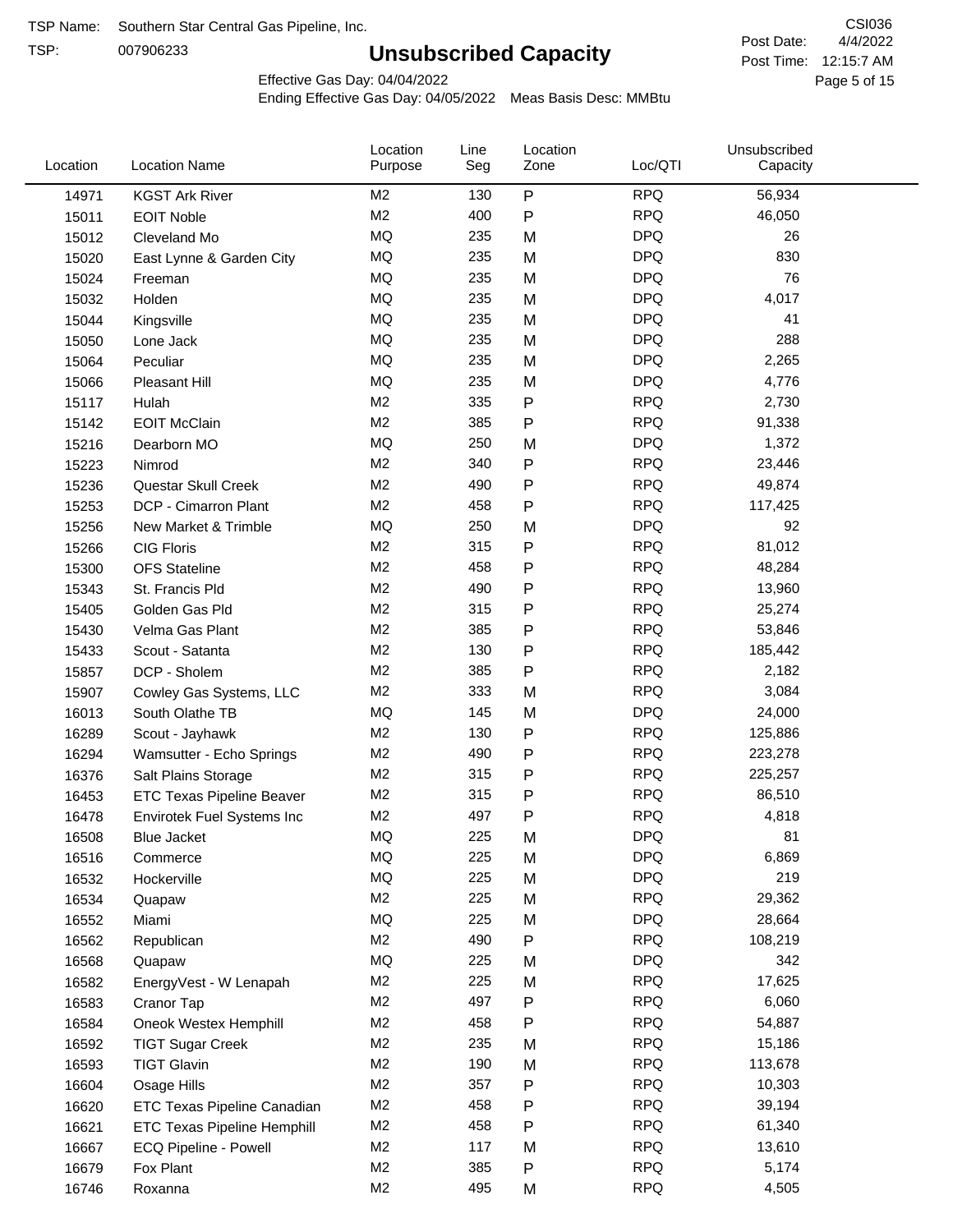TSP:

## **Unsubscribed Capacity**

4/4/2022 Page 5 of 15 Post Time: 12:15:7 AM CSI036 Post Date:

Effective Gas Day: 04/04/2022

| Location | <b>Location Name</b>               | Location<br>Purpose | Line<br>Seg | Location<br>Zone | Loc/QTI    | Unsubscribed<br>Capacity |  |
|----------|------------------------------------|---------------------|-------------|------------------|------------|--------------------------|--|
| 14971    | <b>KGST Ark River</b>              | M2                  | 130         | P                | <b>RPQ</b> | 56,934                   |  |
| 15011    | <b>EOIT Noble</b>                  | M <sub>2</sub>      | 400         | $\sf P$          | <b>RPQ</b> | 46,050                   |  |
| 15012    | Cleveland Mo                       | <b>MQ</b>           | 235         | M                | <b>DPQ</b> | 26                       |  |
| 15020    | East Lynne & Garden City           | MQ                  | 235         | M                | <b>DPQ</b> | 830                      |  |
| 15024    | Freeman                            | <b>MQ</b>           | 235         | M                | <b>DPQ</b> | 76                       |  |
| 15032    | Holden                             | <b>MQ</b>           | 235         | M                | <b>DPQ</b> | 4,017                    |  |
| 15044    | Kingsville                         | MQ                  | 235         | M                | <b>DPQ</b> | 41                       |  |
| 15050    | Lone Jack                          | MQ                  | 235         | M                | <b>DPQ</b> | 288                      |  |
| 15064    | Peculiar                           | MQ                  | 235         | M                | <b>DPQ</b> | 2,265                    |  |
| 15066    | Pleasant Hill                      | <b>MQ</b>           | 235         | M                | <b>DPQ</b> | 4,776                    |  |
| 15117    | Hulah                              | M <sub>2</sub>      | 335         | ${\sf P}$        | <b>RPQ</b> | 2,730                    |  |
| 15142    | <b>EOIT McClain</b>                | M2                  | 385         | ${\sf P}$        | <b>RPQ</b> | 91,338                   |  |
| 15216    | Dearborn MO                        | MQ                  | 250         | M                | <b>DPQ</b> | 1,372                    |  |
| 15223    | Nimrod                             | M <sub>2</sub>      | 340         | ${\sf P}$        | <b>RPQ</b> | 23,446                   |  |
| 15236    | Questar Skull Creek                | M <sub>2</sub>      | 490         | ${\sf P}$        | <b>RPQ</b> | 49,874                   |  |
| 15253    | DCP - Cimarron Plant               | M2                  | 458         | P                | <b>RPQ</b> | 117,425                  |  |
| 15256    | New Market & Trimble               | MQ                  | 250         | M                | <b>DPQ</b> | 92                       |  |
| 15266    | <b>CIG Floris</b>                  | M <sub>2</sub>      | 315         | P                | <b>RPQ</b> | 81,012                   |  |
| 15300    | <b>OFS</b> Stateline               | M <sub>2</sub>      | 458         | P                | <b>RPQ</b> | 48,284                   |  |
| 15343    | St. Francis Pld                    | M <sub>2</sub>      | 490         | P                | <b>RPQ</b> | 13,960                   |  |
| 15405    | Golden Gas Pld                     | M <sub>2</sub>      | 315         | P                | <b>RPQ</b> | 25,274                   |  |
| 15430    | Velma Gas Plant                    | M <sub>2</sub>      | 385         | P                | <b>RPQ</b> | 53,846                   |  |
| 15433    | Scout - Satanta                    | M <sub>2</sub>      | 130         | ${\sf P}$        | <b>RPQ</b> | 185,442                  |  |
| 15857    | DCP - Sholem                       | M <sub>2</sub>      | 385         | P                | <b>RPQ</b> | 2,182                    |  |
| 15907    | Cowley Gas Systems, LLC            | M <sub>2</sub>      | 333         | M                | <b>RPQ</b> | 3,084                    |  |
| 16013    | South Olathe TB                    | MQ                  | 145         | M                | <b>DPQ</b> | 24,000                   |  |
| 16289    | Scout - Jayhawk                    | M2                  | 130         | P                | <b>RPQ</b> | 125,886                  |  |
| 16294    | Wamsutter - Echo Springs           | M <sub>2</sub>      | 490         | P                | <b>RPQ</b> | 223,278                  |  |
| 16376    | Salt Plains Storage                | M <sub>2</sub>      | 315         | P                | <b>RPQ</b> | 225,257                  |  |
| 16453    | <b>ETC Texas Pipeline Beaver</b>   | M <sub>2</sub>      | 315         | ${\sf P}$        | <b>RPQ</b> | 86,510                   |  |
| 16478    | Envirotek Fuel Systems Inc         | M <sub>2</sub>      | 497         | P                | <b>RPQ</b> | 4,818                    |  |
| 16508    | Blue Jacket                        | <b>MQ</b>           | 225         | M                | <b>DPQ</b> | 81                       |  |
| 16516    | Commerce                           | MQ                  | 225         | M                | <b>DPQ</b> | 6,869                    |  |
| 16532    | Hockerville                        | MQ                  | 225         | M                | <b>DPQ</b> | 219                      |  |
| 16534    | Quapaw                             | M2                  | 225         | M                | <b>RPQ</b> | 29,362                   |  |
| 16552    | Miami                              | MQ                  | 225         | M                | <b>DPQ</b> | 28,664                   |  |
| 16562    | Republican                         | M2                  | 490         | P                | <b>RPQ</b> | 108,219                  |  |
| 16568    | Quapaw                             | MQ                  | 225         | M                | <b>DPQ</b> | 342                      |  |
| 16582    | EnergyVest - W Lenapah             | M2                  | 225         | M                | <b>RPQ</b> | 17,625                   |  |
| 16583    | Cranor Tap                         | M2                  | 497         | P                | <b>RPQ</b> | 6,060                    |  |
| 16584    | Oneok Westex Hemphill              | M <sub>2</sub>      | 458         | P                | <b>RPQ</b> | 54,887                   |  |
| 16592    | <b>TIGT Sugar Creek</b>            | M2                  | 235         | M                | <b>RPQ</b> | 15,186                   |  |
| 16593    | <b>TIGT Glavin</b>                 | M <sub>2</sub>      | 190         | M                | <b>RPQ</b> | 113,678                  |  |
| 16604    | Osage Hills                        | M <sub>2</sub>      | 357         | P                | <b>RPQ</b> | 10,303                   |  |
| 16620    | ETC Texas Pipeline Canadian        | M <sub>2</sub>      | 458         | P                | <b>RPQ</b> | 39,194                   |  |
| 16621    | <b>ETC Texas Pipeline Hemphill</b> | M2                  | 458         | P                | <b>RPQ</b> | 61,340                   |  |
| 16667    | ECQ Pipeline - Powell              | M2                  | 117         | M                | <b>RPQ</b> | 13,610                   |  |
| 16679    | Fox Plant                          | M2                  | 385         | P                | <b>RPQ</b> | 5,174                    |  |
| 16746    | Roxanna                            | M <sub>2</sub>      | 495         | M                | <b>RPQ</b> | 4,505                    |  |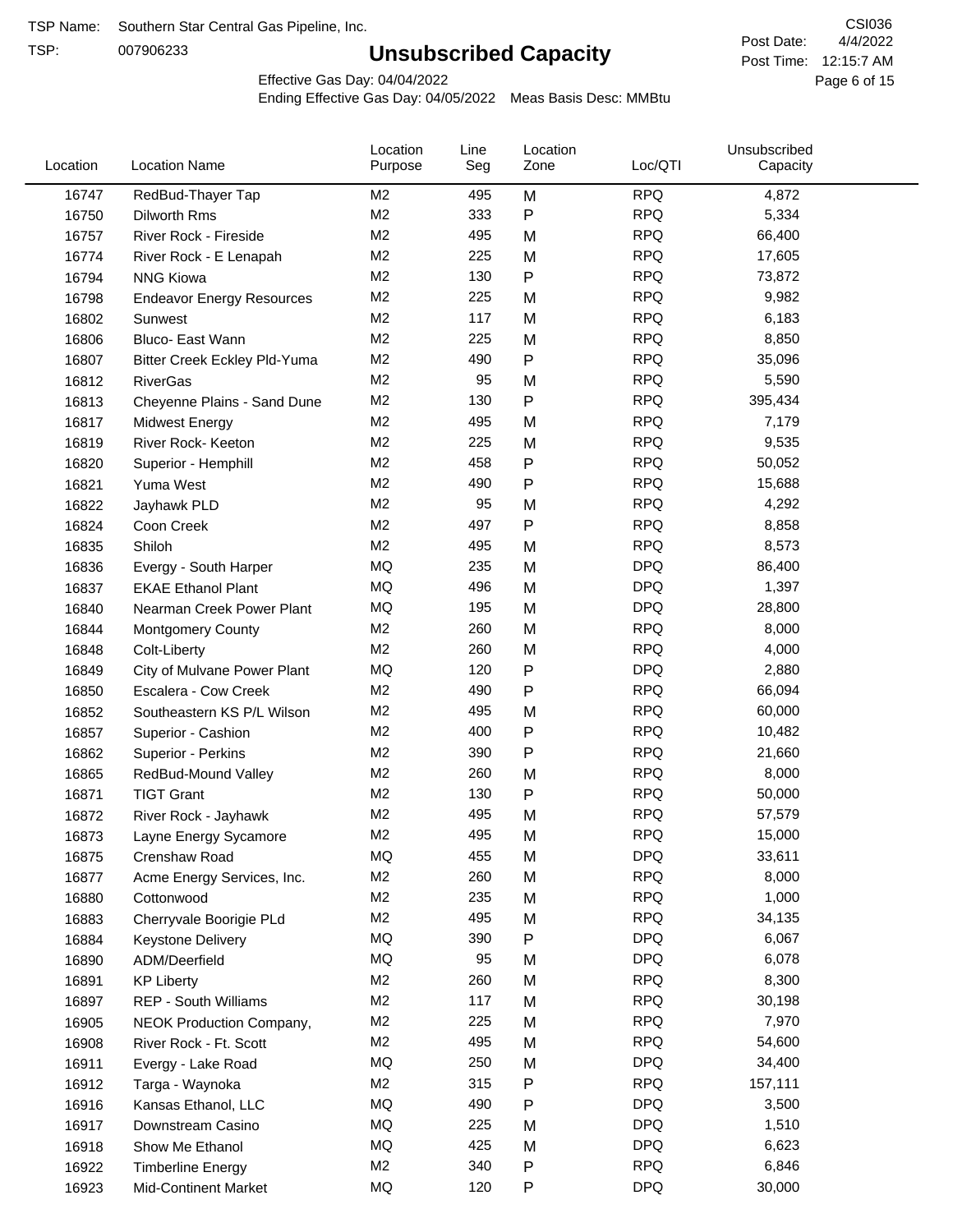TSP:

## **Unsubscribed Capacity**

4/4/2022 Page 6 of 15 Post Time: 12:15:7 AM CSI036 Post Date:

Effective Gas Day: 04/04/2022

| Location | <b>Location Name</b>             | Location<br>Purpose | Line<br>Seg | Location<br>Zone | Loc/QTI    | Unsubscribed<br>Capacity |  |
|----------|----------------------------------|---------------------|-------------|------------------|------------|--------------------------|--|
| 16747    | RedBud-Thayer Tap                | M <sub>2</sub>      | 495         | M                | <b>RPQ</b> | 4,872                    |  |
| 16750    | Dilworth Rms                     | M <sub>2</sub>      | 333         | P                | <b>RPQ</b> | 5,334                    |  |
| 16757    | River Rock - Fireside            | M <sub>2</sub>      | 495         | M                | <b>RPQ</b> | 66,400                   |  |
| 16774    | River Rock - E Lenapah           | M <sub>2</sub>      | 225         | M                | <b>RPQ</b> | 17,605                   |  |
| 16794    | <b>NNG Kiowa</b>                 | M <sub>2</sub>      | 130         | P                | <b>RPQ</b> | 73,872                   |  |
| 16798    | <b>Endeavor Energy Resources</b> | M <sub>2</sub>      | 225         | M                | <b>RPQ</b> | 9,982                    |  |
| 16802    | Sunwest                          | M <sub>2</sub>      | 117         | M                | <b>RPQ</b> | 6,183                    |  |
| 16806    | Bluco- East Wann                 | M <sub>2</sub>      | 225         | M                | <b>RPQ</b> | 8,850                    |  |
| 16807    | Bitter Creek Eckley Pld-Yuma     | M <sub>2</sub>      | 490         | P                | <b>RPQ</b> | 35,096                   |  |
| 16812    | <b>RiverGas</b>                  | M <sub>2</sub>      | 95          | M                | <b>RPQ</b> | 5,590                    |  |
| 16813    | Cheyenne Plains - Sand Dune      | M <sub>2</sub>      | 130         | P                | <b>RPQ</b> | 395,434                  |  |
| 16817    | <b>Midwest Energy</b>            | M <sub>2</sub>      | 495         | M                | <b>RPQ</b> | 7,179                    |  |
| 16819    | River Rock- Keeton               | M <sub>2</sub>      | 225         | M                | <b>RPQ</b> | 9,535                    |  |
| 16820    | Superior - Hemphill              | M <sub>2</sub>      | 458         | Ρ                | <b>RPQ</b> | 50,052                   |  |
| 16821    | Yuma West                        | M <sub>2</sub>      | 490         | P                | <b>RPQ</b> | 15,688                   |  |
| 16822    | Jayhawk PLD                      | M <sub>2</sub>      | 95          | M                | <b>RPQ</b> | 4,292                    |  |
| 16824    | Coon Creek                       | M <sub>2</sub>      | 497         | Ρ                | <b>RPQ</b> | 8,858                    |  |
| 16835    | Shiloh                           | M <sub>2</sub>      | 495         | M                | <b>RPQ</b> | 8,573                    |  |
| 16836    | Evergy - South Harper            | MQ                  | 235         | M                | <b>DPQ</b> | 86,400                   |  |
| 16837    | <b>EKAE Ethanol Plant</b>        | MQ                  | 496         | M                | <b>DPQ</b> | 1,397                    |  |
| 16840    | Nearman Creek Power Plant        | MQ                  | 195         | M                | <b>DPQ</b> | 28,800                   |  |
| 16844    | <b>Montgomery County</b>         | M <sub>2</sub>      | 260         | M                | <b>RPQ</b> | 8,000                    |  |
| 16848    | Colt-Liberty                     | M <sub>2</sub>      | 260         | M                | <b>RPQ</b> | 4,000                    |  |
| 16849    | City of Mulvane Power Plant      | MQ                  | 120         | P                | <b>DPQ</b> | 2,880                    |  |
| 16850    | Escalera - Cow Creek             | M <sub>2</sub>      | 490         | P                | <b>RPQ</b> | 66,094                   |  |
| 16852    | Southeastern KS P/L Wilson       | M <sub>2</sub>      | 495         | M                | <b>RPQ</b> | 60,000                   |  |
| 16857    | Superior - Cashion               | M <sub>2</sub>      | 400         | Ρ                | <b>RPQ</b> | 10,482                   |  |
| 16862    | Superior - Perkins               | M <sub>2</sub>      | 390         | Ρ                | <b>RPQ</b> | 21,660                   |  |
| 16865    | RedBud-Mound Valley              | M <sub>2</sub>      | 260         | M                | <b>RPQ</b> | 8,000                    |  |
| 16871    | <b>TIGT Grant</b>                | M <sub>2</sub>      | 130         | Ρ                | <b>RPQ</b> | 50,000                   |  |
| 16872    | River Rock - Jayhawk             | M <sub>2</sub>      | 495         | M                | <b>RPQ</b> | 57,579                   |  |
| 16873    | Layne Energy Sycamore            | M <sub>2</sub>      | 495         | M                | <b>RPQ</b> | 15,000                   |  |
| 16875    | Crenshaw Road                    | MQ                  | 455         | M                | <b>DPQ</b> | 33,611                   |  |
| 16877    | Acme Energy Services, Inc.       | M <sub>2</sub>      | 260         | M                | <b>RPQ</b> | 8,000                    |  |
| 16880    | Cottonwood                       | M <sub>2</sub>      | 235         | M                | <b>RPQ</b> | 1,000                    |  |
| 16883    | Cherryvale Boorigie PLd          | M <sub>2</sub>      | 495         | M                | <b>RPQ</b> | 34,135                   |  |
| 16884    | Keystone Delivery                | MQ                  | 390         | Ρ                | <b>DPQ</b> | 6,067                    |  |
| 16890    | ADM/Deerfield                    | <b>MQ</b>           | 95          | M                | <b>DPQ</b> | 6,078                    |  |
| 16891    | <b>KP Liberty</b>                | M <sub>2</sub>      | 260         | M                | <b>RPQ</b> | 8,300                    |  |
| 16897    | REP - South Williams             | M <sub>2</sub>      | 117         | M                | <b>RPQ</b> | 30,198                   |  |
| 16905    | NEOK Production Company,         | M <sub>2</sub>      | 225         | M                | <b>RPQ</b> | 7,970                    |  |
| 16908    | River Rock - Ft. Scott           | M <sub>2</sub>      | 495         | M                | <b>RPQ</b> | 54,600                   |  |
| 16911    | Evergy - Lake Road               | MQ                  | 250         | M                | <b>DPQ</b> | 34,400                   |  |
| 16912    | Targa - Waynoka                  | M <sub>2</sub>      | 315         | Ρ                | <b>RPQ</b> | 157,111                  |  |
| 16916    | Kansas Ethanol, LLC              | MQ                  | 490         | Ρ                | <b>DPQ</b> | 3,500                    |  |
| 16917    | Downstream Casino                | MQ                  | 225         | M                | <b>DPQ</b> | 1,510                    |  |
| 16918    | Show Me Ethanol                  | MQ                  | 425         | M                | <b>DPQ</b> | 6,623                    |  |
| 16922    | <b>Timberline Energy</b>         | M <sub>2</sub>      | 340         | Ρ                | <b>RPQ</b> | 6,846                    |  |
| 16923    | <b>Mid-Continent Market</b>      | MQ                  | 120         | P                | <b>DPQ</b> | 30,000                   |  |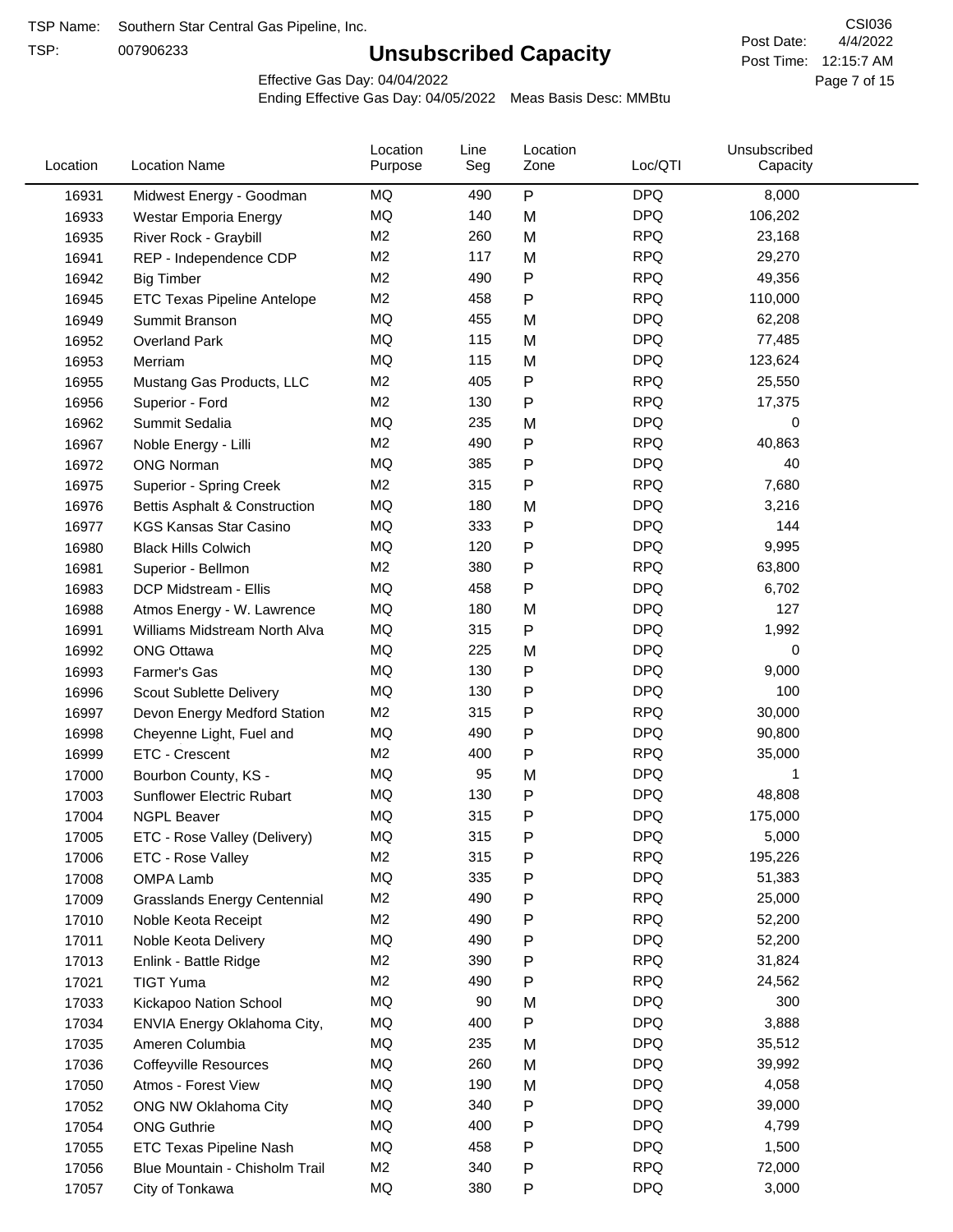TSP:

## **Unsubscribed Capacity**

4/4/2022 Page 7 of 15 Post Time: 12:15:7 AM CSI036 Post Date:

Effective Gas Day: 04/04/2022

| $\sf P$<br><b>DPQ</b><br>MQ<br>8,000<br>490<br>16931<br>Midwest Energy - Goodman<br>MQ<br><b>DPQ</b><br>140<br>106,202<br>M<br>16933<br>Westar Emporia Energy<br><b>RPQ</b><br>M <sub>2</sub><br>260<br>M<br>23,168<br>16935<br>River Rock - Graybill<br><b>RPQ</b><br>M <sub>2</sub><br>117<br>29,270<br>M<br>16941<br>REP - Independence CDP<br><b>RPQ</b><br>M <sub>2</sub><br>490<br>Ρ<br>49,356<br>16942<br><b>Big Timber</b><br>M <sub>2</sub><br>458<br><b>RPQ</b><br>110,000<br>P<br>16945<br><b>ETC Texas Pipeline Antelope</b><br>MQ<br>455<br><b>DPQ</b><br>62,208<br>M<br>16949<br>Summit Branson<br>MQ<br><b>DPQ</b><br>115<br>M<br>77,485<br>16952<br><b>Overland Park</b><br>MQ<br>115<br><b>DPQ</b><br>123,624<br>16953<br>M<br>Merriam<br><b>RPQ</b><br>M <sub>2</sub><br>405<br>Ρ<br>25,550<br>16955<br>Mustang Gas Products, LLC<br><b>RPQ</b><br>M <sub>2</sub><br>130<br>Ρ<br>17,375<br>16956<br>Superior - Ford<br><b>DPQ</b><br>MQ<br>235<br>M<br>0<br>16962<br>Summit Sedalia<br><b>RPQ</b><br>M <sub>2</sub><br>490<br>P<br>40,863<br>16967<br>Noble Energy - Lilli<br>MQ<br>385<br>Ρ<br><b>DPQ</b><br>40<br><b>ONG Norman</b><br>16972<br>M <sub>2</sub><br><b>RPQ</b><br>7,680<br>315<br>P<br>16975<br>Superior - Spring Creek<br>MQ<br><b>DPQ</b><br>3,216<br>180<br>M<br>16976<br>Bettis Asphalt & Construction<br>MQ<br><b>DPQ</b><br>144<br>16977<br>333<br>Ρ<br><b>KGS Kansas Star Casino</b><br>MQ<br>Ρ<br><b>DPQ</b><br>9,995<br>120<br>16980<br><b>Black Hills Colwich</b><br><b>RPQ</b><br>M <sub>2</sub><br>380<br>Ρ<br>63,800<br>16981<br>Superior - Bellmon<br>P<br><b>DPQ</b><br>MQ<br>458<br>6,702<br>16983<br>DCP Midstream - Ellis<br>MQ<br><b>DPQ</b><br>127<br>180<br>16988<br>M<br>Atmos Energy - W. Lawrence<br>$\mathsf{P}$<br><b>DPQ</b><br>MQ<br>315<br>1,992<br>16991<br>Williams Midstream North Alva<br>MQ<br><b>DPQ</b><br>225<br>0<br>16992<br><b>ONG Ottawa</b><br>M<br>MQ<br>Ρ<br><b>DPQ</b><br>16993<br>Farmer's Gas<br>130<br>9,000<br>MQ<br><b>DPQ</b><br>Ρ<br>100<br>130<br>16996<br>Scout Sublette Delivery<br><b>RPQ</b><br>M <sub>2</sub><br>30,000<br>315<br>Ρ<br>16997<br>Devon Energy Medford Station<br><b>DPQ</b><br>MQ<br>490<br>Ρ<br>90,800<br>16998<br>Cheyenne Light, Fuel and<br>M <sub>2</sub><br><b>RPQ</b><br>35,000<br>ETC - Crescent<br>400<br>Ρ<br>16999<br>MQ<br>95<br><b>DPQ</b><br>M<br>17000<br>Bourbon County, KS -<br>1<br>MQ<br><b>DPQ</b><br>130<br>Ρ<br>48,808<br>17003<br>Sunflower Electric Rubart<br><b>DPQ</b><br>MQ<br>315<br>Ρ<br>175,000<br>17004<br><b>NGPL Beaver</b><br><b>DPQ</b><br><b>MQ</b><br>315<br>5,000<br>17005<br>ETC - Rose Valley (Delivery)<br>Ρ<br>M <sub>2</sub><br>Ρ<br><b>RPQ</b><br>315<br>195,226<br>17006<br>ETC - Rose Valley<br><b>DPQ</b><br>MQ<br>335<br>51,383<br>Ρ<br>17008<br><b>OMPA Lamb</b><br><b>RPQ</b><br>M <sub>2</sub><br>490<br>Ρ<br>25,000<br>17009<br><b>Grasslands Energy Centennial</b><br>M <sub>2</sub><br>490<br><b>RPQ</b><br>17010<br>Ρ<br>52,200<br>Noble Keota Receipt<br>490<br><b>DPQ</b><br>17011<br>ΜQ<br>Ρ<br>52,200<br>Noble Keota Delivery<br>M <sub>2</sub><br><b>RPQ</b><br>390<br>P<br>31,824<br>17013<br>Enlink - Battle Ridge<br>M <sub>2</sub><br><b>RPQ</b><br>490<br>24,562<br>P<br>17021<br><b>TIGT Yuma</b><br>MQ<br><b>DPQ</b><br>300<br>17033<br>90<br>M<br>Kickapoo Nation School<br>MQ<br><b>DPQ</b><br>3,888<br>400<br>P<br>17034<br>ENVIA Energy Oklahoma City,<br>MQ<br><b>DPQ</b><br>235<br>M<br>35,512<br>17035<br>Ameren Columbia<br>MQ<br><b>DPQ</b><br>260<br>M<br>39,992<br>17036<br><b>Coffeyville Resources</b><br>MQ<br><b>DPQ</b><br>190<br>M<br>4,058<br>17050<br>Atmos - Forest View<br>MQ<br>340<br>${\sf P}$<br><b>DPQ</b><br>39,000<br>17052<br>ONG NW Oklahoma City<br>MQ<br><b>DPQ</b><br>4,799<br>400<br>Ρ<br>17054<br><b>ONG Guthrie</b><br>MQ<br><b>DPQ</b><br>1,500<br>458<br>17055<br>ETC Texas Pipeline Nash<br>Ρ<br><b>RPQ</b><br>M <sub>2</sub><br>72,000<br>340<br>Ρ<br>17056<br>Blue Mountain - Chisholm Trail<br>MQ<br>380<br><b>DPQ</b><br>3,000<br>17057<br>City of Tonkawa<br>P | Location | <b>Location Name</b> | Location<br>Purpose | Line<br>Seg | Location<br>Zone | Loc/QTI | Unsubscribed<br>Capacity |  |
|------------------------------------------------------------------------------------------------------------------------------------------------------------------------------------------------------------------------------------------------------------------------------------------------------------------------------------------------------------------------------------------------------------------------------------------------------------------------------------------------------------------------------------------------------------------------------------------------------------------------------------------------------------------------------------------------------------------------------------------------------------------------------------------------------------------------------------------------------------------------------------------------------------------------------------------------------------------------------------------------------------------------------------------------------------------------------------------------------------------------------------------------------------------------------------------------------------------------------------------------------------------------------------------------------------------------------------------------------------------------------------------------------------------------------------------------------------------------------------------------------------------------------------------------------------------------------------------------------------------------------------------------------------------------------------------------------------------------------------------------------------------------------------------------------------------------------------------------------------------------------------------------------------------------------------------------------------------------------------------------------------------------------------------------------------------------------------------------------------------------------------------------------------------------------------------------------------------------------------------------------------------------------------------------------------------------------------------------------------------------------------------------------------------------------------------------------------------------------------------------------------------------------------------------------------------------------------------------------------------------------------------------------------------------------------------------------------------------------------------------------------------------------------------------------------------------------------------------------------------------------------------------------------------------------------------------------------------------------------------------------------------------------------------------------------------------------------------------------------------------------------------------------------------------------------------------------------------------------------------------------------------------------------------------------------------------------------------------------------------------------------------------------------------------------------------------------------------------------------------------------------------------------------------------------------------------------------------------------------------------------------------------------------------------------------------------------------------------------------------------------------------------------------------------------------------------------------------------------------------------------------------------------------------------------------------------------------------------------------------------------------------------------------------------------------------------------------------|----------|----------------------|---------------------|-------------|------------------|---------|--------------------------|--|
|                                                                                                                                                                                                                                                                                                                                                                                                                                                                                                                                                                                                                                                                                                                                                                                                                                                                                                                                                                                                                                                                                                                                                                                                                                                                                                                                                                                                                                                                                                                                                                                                                                                                                                                                                                                                                                                                                                                                                                                                                                                                                                                                                                                                                                                                                                                                                                                                                                                                                                                                                                                                                                                                                                                                                                                                                                                                                                                                                                                                                                                                                                                                                                                                                                                                                                                                                                                                                                                                                                                                                                                                                                                                                                                                                                                                                                                                                                                                                                                                                                                                                          |          |                      |                     |             |                  |         |                          |  |
|                                                                                                                                                                                                                                                                                                                                                                                                                                                                                                                                                                                                                                                                                                                                                                                                                                                                                                                                                                                                                                                                                                                                                                                                                                                                                                                                                                                                                                                                                                                                                                                                                                                                                                                                                                                                                                                                                                                                                                                                                                                                                                                                                                                                                                                                                                                                                                                                                                                                                                                                                                                                                                                                                                                                                                                                                                                                                                                                                                                                                                                                                                                                                                                                                                                                                                                                                                                                                                                                                                                                                                                                                                                                                                                                                                                                                                                                                                                                                                                                                                                                                          |          |                      |                     |             |                  |         |                          |  |
|                                                                                                                                                                                                                                                                                                                                                                                                                                                                                                                                                                                                                                                                                                                                                                                                                                                                                                                                                                                                                                                                                                                                                                                                                                                                                                                                                                                                                                                                                                                                                                                                                                                                                                                                                                                                                                                                                                                                                                                                                                                                                                                                                                                                                                                                                                                                                                                                                                                                                                                                                                                                                                                                                                                                                                                                                                                                                                                                                                                                                                                                                                                                                                                                                                                                                                                                                                                                                                                                                                                                                                                                                                                                                                                                                                                                                                                                                                                                                                                                                                                                                          |          |                      |                     |             |                  |         |                          |  |
|                                                                                                                                                                                                                                                                                                                                                                                                                                                                                                                                                                                                                                                                                                                                                                                                                                                                                                                                                                                                                                                                                                                                                                                                                                                                                                                                                                                                                                                                                                                                                                                                                                                                                                                                                                                                                                                                                                                                                                                                                                                                                                                                                                                                                                                                                                                                                                                                                                                                                                                                                                                                                                                                                                                                                                                                                                                                                                                                                                                                                                                                                                                                                                                                                                                                                                                                                                                                                                                                                                                                                                                                                                                                                                                                                                                                                                                                                                                                                                                                                                                                                          |          |                      |                     |             |                  |         |                          |  |
|                                                                                                                                                                                                                                                                                                                                                                                                                                                                                                                                                                                                                                                                                                                                                                                                                                                                                                                                                                                                                                                                                                                                                                                                                                                                                                                                                                                                                                                                                                                                                                                                                                                                                                                                                                                                                                                                                                                                                                                                                                                                                                                                                                                                                                                                                                                                                                                                                                                                                                                                                                                                                                                                                                                                                                                                                                                                                                                                                                                                                                                                                                                                                                                                                                                                                                                                                                                                                                                                                                                                                                                                                                                                                                                                                                                                                                                                                                                                                                                                                                                                                          |          |                      |                     |             |                  |         |                          |  |
|                                                                                                                                                                                                                                                                                                                                                                                                                                                                                                                                                                                                                                                                                                                                                                                                                                                                                                                                                                                                                                                                                                                                                                                                                                                                                                                                                                                                                                                                                                                                                                                                                                                                                                                                                                                                                                                                                                                                                                                                                                                                                                                                                                                                                                                                                                                                                                                                                                                                                                                                                                                                                                                                                                                                                                                                                                                                                                                                                                                                                                                                                                                                                                                                                                                                                                                                                                                                                                                                                                                                                                                                                                                                                                                                                                                                                                                                                                                                                                                                                                                                                          |          |                      |                     |             |                  |         |                          |  |
|                                                                                                                                                                                                                                                                                                                                                                                                                                                                                                                                                                                                                                                                                                                                                                                                                                                                                                                                                                                                                                                                                                                                                                                                                                                                                                                                                                                                                                                                                                                                                                                                                                                                                                                                                                                                                                                                                                                                                                                                                                                                                                                                                                                                                                                                                                                                                                                                                                                                                                                                                                                                                                                                                                                                                                                                                                                                                                                                                                                                                                                                                                                                                                                                                                                                                                                                                                                                                                                                                                                                                                                                                                                                                                                                                                                                                                                                                                                                                                                                                                                                                          |          |                      |                     |             |                  |         |                          |  |
|                                                                                                                                                                                                                                                                                                                                                                                                                                                                                                                                                                                                                                                                                                                                                                                                                                                                                                                                                                                                                                                                                                                                                                                                                                                                                                                                                                                                                                                                                                                                                                                                                                                                                                                                                                                                                                                                                                                                                                                                                                                                                                                                                                                                                                                                                                                                                                                                                                                                                                                                                                                                                                                                                                                                                                                                                                                                                                                                                                                                                                                                                                                                                                                                                                                                                                                                                                                                                                                                                                                                                                                                                                                                                                                                                                                                                                                                                                                                                                                                                                                                                          |          |                      |                     |             |                  |         |                          |  |
|                                                                                                                                                                                                                                                                                                                                                                                                                                                                                                                                                                                                                                                                                                                                                                                                                                                                                                                                                                                                                                                                                                                                                                                                                                                                                                                                                                                                                                                                                                                                                                                                                                                                                                                                                                                                                                                                                                                                                                                                                                                                                                                                                                                                                                                                                                                                                                                                                                                                                                                                                                                                                                                                                                                                                                                                                                                                                                                                                                                                                                                                                                                                                                                                                                                                                                                                                                                                                                                                                                                                                                                                                                                                                                                                                                                                                                                                                                                                                                                                                                                                                          |          |                      |                     |             |                  |         |                          |  |
|                                                                                                                                                                                                                                                                                                                                                                                                                                                                                                                                                                                                                                                                                                                                                                                                                                                                                                                                                                                                                                                                                                                                                                                                                                                                                                                                                                                                                                                                                                                                                                                                                                                                                                                                                                                                                                                                                                                                                                                                                                                                                                                                                                                                                                                                                                                                                                                                                                                                                                                                                                                                                                                                                                                                                                                                                                                                                                                                                                                                                                                                                                                                                                                                                                                                                                                                                                                                                                                                                                                                                                                                                                                                                                                                                                                                                                                                                                                                                                                                                                                                                          |          |                      |                     |             |                  |         |                          |  |
|                                                                                                                                                                                                                                                                                                                                                                                                                                                                                                                                                                                                                                                                                                                                                                                                                                                                                                                                                                                                                                                                                                                                                                                                                                                                                                                                                                                                                                                                                                                                                                                                                                                                                                                                                                                                                                                                                                                                                                                                                                                                                                                                                                                                                                                                                                                                                                                                                                                                                                                                                                                                                                                                                                                                                                                                                                                                                                                                                                                                                                                                                                                                                                                                                                                                                                                                                                                                                                                                                                                                                                                                                                                                                                                                                                                                                                                                                                                                                                                                                                                                                          |          |                      |                     |             |                  |         |                          |  |
|                                                                                                                                                                                                                                                                                                                                                                                                                                                                                                                                                                                                                                                                                                                                                                                                                                                                                                                                                                                                                                                                                                                                                                                                                                                                                                                                                                                                                                                                                                                                                                                                                                                                                                                                                                                                                                                                                                                                                                                                                                                                                                                                                                                                                                                                                                                                                                                                                                                                                                                                                                                                                                                                                                                                                                                                                                                                                                                                                                                                                                                                                                                                                                                                                                                                                                                                                                                                                                                                                                                                                                                                                                                                                                                                                                                                                                                                                                                                                                                                                                                                                          |          |                      |                     |             |                  |         |                          |  |
|                                                                                                                                                                                                                                                                                                                                                                                                                                                                                                                                                                                                                                                                                                                                                                                                                                                                                                                                                                                                                                                                                                                                                                                                                                                                                                                                                                                                                                                                                                                                                                                                                                                                                                                                                                                                                                                                                                                                                                                                                                                                                                                                                                                                                                                                                                                                                                                                                                                                                                                                                                                                                                                                                                                                                                                                                                                                                                                                                                                                                                                                                                                                                                                                                                                                                                                                                                                                                                                                                                                                                                                                                                                                                                                                                                                                                                                                                                                                                                                                                                                                                          |          |                      |                     |             |                  |         |                          |  |
|                                                                                                                                                                                                                                                                                                                                                                                                                                                                                                                                                                                                                                                                                                                                                                                                                                                                                                                                                                                                                                                                                                                                                                                                                                                                                                                                                                                                                                                                                                                                                                                                                                                                                                                                                                                                                                                                                                                                                                                                                                                                                                                                                                                                                                                                                                                                                                                                                                                                                                                                                                                                                                                                                                                                                                                                                                                                                                                                                                                                                                                                                                                                                                                                                                                                                                                                                                                                                                                                                                                                                                                                                                                                                                                                                                                                                                                                                                                                                                                                                                                                                          |          |                      |                     |             |                  |         |                          |  |
|                                                                                                                                                                                                                                                                                                                                                                                                                                                                                                                                                                                                                                                                                                                                                                                                                                                                                                                                                                                                                                                                                                                                                                                                                                                                                                                                                                                                                                                                                                                                                                                                                                                                                                                                                                                                                                                                                                                                                                                                                                                                                                                                                                                                                                                                                                                                                                                                                                                                                                                                                                                                                                                                                                                                                                                                                                                                                                                                                                                                                                                                                                                                                                                                                                                                                                                                                                                                                                                                                                                                                                                                                                                                                                                                                                                                                                                                                                                                                                                                                                                                                          |          |                      |                     |             |                  |         |                          |  |
|                                                                                                                                                                                                                                                                                                                                                                                                                                                                                                                                                                                                                                                                                                                                                                                                                                                                                                                                                                                                                                                                                                                                                                                                                                                                                                                                                                                                                                                                                                                                                                                                                                                                                                                                                                                                                                                                                                                                                                                                                                                                                                                                                                                                                                                                                                                                                                                                                                                                                                                                                                                                                                                                                                                                                                                                                                                                                                                                                                                                                                                                                                                                                                                                                                                                                                                                                                                                                                                                                                                                                                                                                                                                                                                                                                                                                                                                                                                                                                                                                                                                                          |          |                      |                     |             |                  |         |                          |  |
|                                                                                                                                                                                                                                                                                                                                                                                                                                                                                                                                                                                                                                                                                                                                                                                                                                                                                                                                                                                                                                                                                                                                                                                                                                                                                                                                                                                                                                                                                                                                                                                                                                                                                                                                                                                                                                                                                                                                                                                                                                                                                                                                                                                                                                                                                                                                                                                                                                                                                                                                                                                                                                                                                                                                                                                                                                                                                                                                                                                                                                                                                                                                                                                                                                                                                                                                                                                                                                                                                                                                                                                                                                                                                                                                                                                                                                                                                                                                                                                                                                                                                          |          |                      |                     |             |                  |         |                          |  |
|                                                                                                                                                                                                                                                                                                                                                                                                                                                                                                                                                                                                                                                                                                                                                                                                                                                                                                                                                                                                                                                                                                                                                                                                                                                                                                                                                                                                                                                                                                                                                                                                                                                                                                                                                                                                                                                                                                                                                                                                                                                                                                                                                                                                                                                                                                                                                                                                                                                                                                                                                                                                                                                                                                                                                                                                                                                                                                                                                                                                                                                                                                                                                                                                                                                                                                                                                                                                                                                                                                                                                                                                                                                                                                                                                                                                                                                                                                                                                                                                                                                                                          |          |                      |                     |             |                  |         |                          |  |
|                                                                                                                                                                                                                                                                                                                                                                                                                                                                                                                                                                                                                                                                                                                                                                                                                                                                                                                                                                                                                                                                                                                                                                                                                                                                                                                                                                                                                                                                                                                                                                                                                                                                                                                                                                                                                                                                                                                                                                                                                                                                                                                                                                                                                                                                                                                                                                                                                                                                                                                                                                                                                                                                                                                                                                                                                                                                                                                                                                                                                                                                                                                                                                                                                                                                                                                                                                                                                                                                                                                                                                                                                                                                                                                                                                                                                                                                                                                                                                                                                                                                                          |          |                      |                     |             |                  |         |                          |  |
|                                                                                                                                                                                                                                                                                                                                                                                                                                                                                                                                                                                                                                                                                                                                                                                                                                                                                                                                                                                                                                                                                                                                                                                                                                                                                                                                                                                                                                                                                                                                                                                                                                                                                                                                                                                                                                                                                                                                                                                                                                                                                                                                                                                                                                                                                                                                                                                                                                                                                                                                                                                                                                                                                                                                                                                                                                                                                                                                                                                                                                                                                                                                                                                                                                                                                                                                                                                                                                                                                                                                                                                                                                                                                                                                                                                                                                                                                                                                                                                                                                                                                          |          |                      |                     |             |                  |         |                          |  |
|                                                                                                                                                                                                                                                                                                                                                                                                                                                                                                                                                                                                                                                                                                                                                                                                                                                                                                                                                                                                                                                                                                                                                                                                                                                                                                                                                                                                                                                                                                                                                                                                                                                                                                                                                                                                                                                                                                                                                                                                                                                                                                                                                                                                                                                                                                                                                                                                                                                                                                                                                                                                                                                                                                                                                                                                                                                                                                                                                                                                                                                                                                                                                                                                                                                                                                                                                                                                                                                                                                                                                                                                                                                                                                                                                                                                                                                                                                                                                                                                                                                                                          |          |                      |                     |             |                  |         |                          |  |
|                                                                                                                                                                                                                                                                                                                                                                                                                                                                                                                                                                                                                                                                                                                                                                                                                                                                                                                                                                                                                                                                                                                                                                                                                                                                                                                                                                                                                                                                                                                                                                                                                                                                                                                                                                                                                                                                                                                                                                                                                                                                                                                                                                                                                                                                                                                                                                                                                                                                                                                                                                                                                                                                                                                                                                                                                                                                                                                                                                                                                                                                                                                                                                                                                                                                                                                                                                                                                                                                                                                                                                                                                                                                                                                                                                                                                                                                                                                                                                                                                                                                                          |          |                      |                     |             |                  |         |                          |  |
|                                                                                                                                                                                                                                                                                                                                                                                                                                                                                                                                                                                                                                                                                                                                                                                                                                                                                                                                                                                                                                                                                                                                                                                                                                                                                                                                                                                                                                                                                                                                                                                                                                                                                                                                                                                                                                                                                                                                                                                                                                                                                                                                                                                                                                                                                                                                                                                                                                                                                                                                                                                                                                                                                                                                                                                                                                                                                                                                                                                                                                                                                                                                                                                                                                                                                                                                                                                                                                                                                                                                                                                                                                                                                                                                                                                                                                                                                                                                                                                                                                                                                          |          |                      |                     |             |                  |         |                          |  |
|                                                                                                                                                                                                                                                                                                                                                                                                                                                                                                                                                                                                                                                                                                                                                                                                                                                                                                                                                                                                                                                                                                                                                                                                                                                                                                                                                                                                                                                                                                                                                                                                                                                                                                                                                                                                                                                                                                                                                                                                                                                                                                                                                                                                                                                                                                                                                                                                                                                                                                                                                                                                                                                                                                                                                                                                                                                                                                                                                                                                                                                                                                                                                                                                                                                                                                                                                                                                                                                                                                                                                                                                                                                                                                                                                                                                                                                                                                                                                                                                                                                                                          |          |                      |                     |             |                  |         |                          |  |
|                                                                                                                                                                                                                                                                                                                                                                                                                                                                                                                                                                                                                                                                                                                                                                                                                                                                                                                                                                                                                                                                                                                                                                                                                                                                                                                                                                                                                                                                                                                                                                                                                                                                                                                                                                                                                                                                                                                                                                                                                                                                                                                                                                                                                                                                                                                                                                                                                                                                                                                                                                                                                                                                                                                                                                                                                                                                                                                                                                                                                                                                                                                                                                                                                                                                                                                                                                                                                                                                                                                                                                                                                                                                                                                                                                                                                                                                                                                                                                                                                                                                                          |          |                      |                     |             |                  |         |                          |  |
|                                                                                                                                                                                                                                                                                                                                                                                                                                                                                                                                                                                                                                                                                                                                                                                                                                                                                                                                                                                                                                                                                                                                                                                                                                                                                                                                                                                                                                                                                                                                                                                                                                                                                                                                                                                                                                                                                                                                                                                                                                                                                                                                                                                                                                                                                                                                                                                                                                                                                                                                                                                                                                                                                                                                                                                                                                                                                                                                                                                                                                                                                                                                                                                                                                                                                                                                                                                                                                                                                                                                                                                                                                                                                                                                                                                                                                                                                                                                                                                                                                                                                          |          |                      |                     |             |                  |         |                          |  |
|                                                                                                                                                                                                                                                                                                                                                                                                                                                                                                                                                                                                                                                                                                                                                                                                                                                                                                                                                                                                                                                                                                                                                                                                                                                                                                                                                                                                                                                                                                                                                                                                                                                                                                                                                                                                                                                                                                                                                                                                                                                                                                                                                                                                                                                                                                                                                                                                                                                                                                                                                                                                                                                                                                                                                                                                                                                                                                                                                                                                                                                                                                                                                                                                                                                                                                                                                                                                                                                                                                                                                                                                                                                                                                                                                                                                                                                                                                                                                                                                                                                                                          |          |                      |                     |             |                  |         |                          |  |
|                                                                                                                                                                                                                                                                                                                                                                                                                                                                                                                                                                                                                                                                                                                                                                                                                                                                                                                                                                                                                                                                                                                                                                                                                                                                                                                                                                                                                                                                                                                                                                                                                                                                                                                                                                                                                                                                                                                                                                                                                                                                                                                                                                                                                                                                                                                                                                                                                                                                                                                                                                                                                                                                                                                                                                                                                                                                                                                                                                                                                                                                                                                                                                                                                                                                                                                                                                                                                                                                                                                                                                                                                                                                                                                                                                                                                                                                                                                                                                                                                                                                                          |          |                      |                     |             |                  |         |                          |  |
|                                                                                                                                                                                                                                                                                                                                                                                                                                                                                                                                                                                                                                                                                                                                                                                                                                                                                                                                                                                                                                                                                                                                                                                                                                                                                                                                                                                                                                                                                                                                                                                                                                                                                                                                                                                                                                                                                                                                                                                                                                                                                                                                                                                                                                                                                                                                                                                                                                                                                                                                                                                                                                                                                                                                                                                                                                                                                                                                                                                                                                                                                                                                                                                                                                                                                                                                                                                                                                                                                                                                                                                                                                                                                                                                                                                                                                                                                                                                                                                                                                                                                          |          |                      |                     |             |                  |         |                          |  |
|                                                                                                                                                                                                                                                                                                                                                                                                                                                                                                                                                                                                                                                                                                                                                                                                                                                                                                                                                                                                                                                                                                                                                                                                                                                                                                                                                                                                                                                                                                                                                                                                                                                                                                                                                                                                                                                                                                                                                                                                                                                                                                                                                                                                                                                                                                                                                                                                                                                                                                                                                                                                                                                                                                                                                                                                                                                                                                                                                                                                                                                                                                                                                                                                                                                                                                                                                                                                                                                                                                                                                                                                                                                                                                                                                                                                                                                                                                                                                                                                                                                                                          |          |                      |                     |             |                  |         |                          |  |
|                                                                                                                                                                                                                                                                                                                                                                                                                                                                                                                                                                                                                                                                                                                                                                                                                                                                                                                                                                                                                                                                                                                                                                                                                                                                                                                                                                                                                                                                                                                                                                                                                                                                                                                                                                                                                                                                                                                                                                                                                                                                                                                                                                                                                                                                                                                                                                                                                                                                                                                                                                                                                                                                                                                                                                                                                                                                                                                                                                                                                                                                                                                                                                                                                                                                                                                                                                                                                                                                                                                                                                                                                                                                                                                                                                                                                                                                                                                                                                                                                                                                                          |          |                      |                     |             |                  |         |                          |  |
|                                                                                                                                                                                                                                                                                                                                                                                                                                                                                                                                                                                                                                                                                                                                                                                                                                                                                                                                                                                                                                                                                                                                                                                                                                                                                                                                                                                                                                                                                                                                                                                                                                                                                                                                                                                                                                                                                                                                                                                                                                                                                                                                                                                                                                                                                                                                                                                                                                                                                                                                                                                                                                                                                                                                                                                                                                                                                                                                                                                                                                                                                                                                                                                                                                                                                                                                                                                                                                                                                                                                                                                                                                                                                                                                                                                                                                                                                                                                                                                                                                                                                          |          |                      |                     |             |                  |         |                          |  |
|                                                                                                                                                                                                                                                                                                                                                                                                                                                                                                                                                                                                                                                                                                                                                                                                                                                                                                                                                                                                                                                                                                                                                                                                                                                                                                                                                                                                                                                                                                                                                                                                                                                                                                                                                                                                                                                                                                                                                                                                                                                                                                                                                                                                                                                                                                                                                                                                                                                                                                                                                                                                                                                                                                                                                                                                                                                                                                                                                                                                                                                                                                                                                                                                                                                                                                                                                                                                                                                                                                                                                                                                                                                                                                                                                                                                                                                                                                                                                                                                                                                                                          |          |                      |                     |             |                  |         |                          |  |
|                                                                                                                                                                                                                                                                                                                                                                                                                                                                                                                                                                                                                                                                                                                                                                                                                                                                                                                                                                                                                                                                                                                                                                                                                                                                                                                                                                                                                                                                                                                                                                                                                                                                                                                                                                                                                                                                                                                                                                                                                                                                                                                                                                                                                                                                                                                                                                                                                                                                                                                                                                                                                                                                                                                                                                                                                                                                                                                                                                                                                                                                                                                                                                                                                                                                                                                                                                                                                                                                                                                                                                                                                                                                                                                                                                                                                                                                                                                                                                                                                                                                                          |          |                      |                     |             |                  |         |                          |  |
|                                                                                                                                                                                                                                                                                                                                                                                                                                                                                                                                                                                                                                                                                                                                                                                                                                                                                                                                                                                                                                                                                                                                                                                                                                                                                                                                                                                                                                                                                                                                                                                                                                                                                                                                                                                                                                                                                                                                                                                                                                                                                                                                                                                                                                                                                                                                                                                                                                                                                                                                                                                                                                                                                                                                                                                                                                                                                                                                                                                                                                                                                                                                                                                                                                                                                                                                                                                                                                                                                                                                                                                                                                                                                                                                                                                                                                                                                                                                                                                                                                                                                          |          |                      |                     |             |                  |         |                          |  |
|                                                                                                                                                                                                                                                                                                                                                                                                                                                                                                                                                                                                                                                                                                                                                                                                                                                                                                                                                                                                                                                                                                                                                                                                                                                                                                                                                                                                                                                                                                                                                                                                                                                                                                                                                                                                                                                                                                                                                                                                                                                                                                                                                                                                                                                                                                                                                                                                                                                                                                                                                                                                                                                                                                                                                                                                                                                                                                                                                                                                                                                                                                                                                                                                                                                                                                                                                                                                                                                                                                                                                                                                                                                                                                                                                                                                                                                                                                                                                                                                                                                                                          |          |                      |                     |             |                  |         |                          |  |
|                                                                                                                                                                                                                                                                                                                                                                                                                                                                                                                                                                                                                                                                                                                                                                                                                                                                                                                                                                                                                                                                                                                                                                                                                                                                                                                                                                                                                                                                                                                                                                                                                                                                                                                                                                                                                                                                                                                                                                                                                                                                                                                                                                                                                                                                                                                                                                                                                                                                                                                                                                                                                                                                                                                                                                                                                                                                                                                                                                                                                                                                                                                                                                                                                                                                                                                                                                                                                                                                                                                                                                                                                                                                                                                                                                                                                                                                                                                                                                                                                                                                                          |          |                      |                     |             |                  |         |                          |  |
|                                                                                                                                                                                                                                                                                                                                                                                                                                                                                                                                                                                                                                                                                                                                                                                                                                                                                                                                                                                                                                                                                                                                                                                                                                                                                                                                                                                                                                                                                                                                                                                                                                                                                                                                                                                                                                                                                                                                                                                                                                                                                                                                                                                                                                                                                                                                                                                                                                                                                                                                                                                                                                                                                                                                                                                                                                                                                                                                                                                                                                                                                                                                                                                                                                                                                                                                                                                                                                                                                                                                                                                                                                                                                                                                                                                                                                                                                                                                                                                                                                                                                          |          |                      |                     |             |                  |         |                          |  |
|                                                                                                                                                                                                                                                                                                                                                                                                                                                                                                                                                                                                                                                                                                                                                                                                                                                                                                                                                                                                                                                                                                                                                                                                                                                                                                                                                                                                                                                                                                                                                                                                                                                                                                                                                                                                                                                                                                                                                                                                                                                                                                                                                                                                                                                                                                                                                                                                                                                                                                                                                                                                                                                                                                                                                                                                                                                                                                                                                                                                                                                                                                                                                                                                                                                                                                                                                                                                                                                                                                                                                                                                                                                                                                                                                                                                                                                                                                                                                                                                                                                                                          |          |                      |                     |             |                  |         |                          |  |
|                                                                                                                                                                                                                                                                                                                                                                                                                                                                                                                                                                                                                                                                                                                                                                                                                                                                                                                                                                                                                                                                                                                                                                                                                                                                                                                                                                                                                                                                                                                                                                                                                                                                                                                                                                                                                                                                                                                                                                                                                                                                                                                                                                                                                                                                                                                                                                                                                                                                                                                                                                                                                                                                                                                                                                                                                                                                                                                                                                                                                                                                                                                                                                                                                                                                                                                                                                                                                                                                                                                                                                                                                                                                                                                                                                                                                                                                                                                                                                                                                                                                                          |          |                      |                     |             |                  |         |                          |  |
|                                                                                                                                                                                                                                                                                                                                                                                                                                                                                                                                                                                                                                                                                                                                                                                                                                                                                                                                                                                                                                                                                                                                                                                                                                                                                                                                                                                                                                                                                                                                                                                                                                                                                                                                                                                                                                                                                                                                                                                                                                                                                                                                                                                                                                                                                                                                                                                                                                                                                                                                                                                                                                                                                                                                                                                                                                                                                                                                                                                                                                                                                                                                                                                                                                                                                                                                                                                                                                                                                                                                                                                                                                                                                                                                                                                                                                                                                                                                                                                                                                                                                          |          |                      |                     |             |                  |         |                          |  |
|                                                                                                                                                                                                                                                                                                                                                                                                                                                                                                                                                                                                                                                                                                                                                                                                                                                                                                                                                                                                                                                                                                                                                                                                                                                                                                                                                                                                                                                                                                                                                                                                                                                                                                                                                                                                                                                                                                                                                                                                                                                                                                                                                                                                                                                                                                                                                                                                                                                                                                                                                                                                                                                                                                                                                                                                                                                                                                                                                                                                                                                                                                                                                                                                                                                                                                                                                                                                                                                                                                                                                                                                                                                                                                                                                                                                                                                                                                                                                                                                                                                                                          |          |                      |                     |             |                  |         |                          |  |
|                                                                                                                                                                                                                                                                                                                                                                                                                                                                                                                                                                                                                                                                                                                                                                                                                                                                                                                                                                                                                                                                                                                                                                                                                                                                                                                                                                                                                                                                                                                                                                                                                                                                                                                                                                                                                                                                                                                                                                                                                                                                                                                                                                                                                                                                                                                                                                                                                                                                                                                                                                                                                                                                                                                                                                                                                                                                                                                                                                                                                                                                                                                                                                                                                                                                                                                                                                                                                                                                                                                                                                                                                                                                                                                                                                                                                                                                                                                                                                                                                                                                                          |          |                      |                     |             |                  |         |                          |  |
|                                                                                                                                                                                                                                                                                                                                                                                                                                                                                                                                                                                                                                                                                                                                                                                                                                                                                                                                                                                                                                                                                                                                                                                                                                                                                                                                                                                                                                                                                                                                                                                                                                                                                                                                                                                                                                                                                                                                                                                                                                                                                                                                                                                                                                                                                                                                                                                                                                                                                                                                                                                                                                                                                                                                                                                                                                                                                                                                                                                                                                                                                                                                                                                                                                                                                                                                                                                                                                                                                                                                                                                                                                                                                                                                                                                                                                                                                                                                                                                                                                                                                          |          |                      |                     |             |                  |         |                          |  |
|                                                                                                                                                                                                                                                                                                                                                                                                                                                                                                                                                                                                                                                                                                                                                                                                                                                                                                                                                                                                                                                                                                                                                                                                                                                                                                                                                                                                                                                                                                                                                                                                                                                                                                                                                                                                                                                                                                                                                                                                                                                                                                                                                                                                                                                                                                                                                                                                                                                                                                                                                                                                                                                                                                                                                                                                                                                                                                                                                                                                                                                                                                                                                                                                                                                                                                                                                                                                                                                                                                                                                                                                                                                                                                                                                                                                                                                                                                                                                                                                                                                                                          |          |                      |                     |             |                  |         |                          |  |
|                                                                                                                                                                                                                                                                                                                                                                                                                                                                                                                                                                                                                                                                                                                                                                                                                                                                                                                                                                                                                                                                                                                                                                                                                                                                                                                                                                                                                                                                                                                                                                                                                                                                                                                                                                                                                                                                                                                                                                                                                                                                                                                                                                                                                                                                                                                                                                                                                                                                                                                                                                                                                                                                                                                                                                                                                                                                                                                                                                                                                                                                                                                                                                                                                                                                                                                                                                                                                                                                                                                                                                                                                                                                                                                                                                                                                                                                                                                                                                                                                                                                                          |          |                      |                     |             |                  |         |                          |  |
|                                                                                                                                                                                                                                                                                                                                                                                                                                                                                                                                                                                                                                                                                                                                                                                                                                                                                                                                                                                                                                                                                                                                                                                                                                                                                                                                                                                                                                                                                                                                                                                                                                                                                                                                                                                                                                                                                                                                                                                                                                                                                                                                                                                                                                                                                                                                                                                                                                                                                                                                                                                                                                                                                                                                                                                                                                                                                                                                                                                                                                                                                                                                                                                                                                                                                                                                                                                                                                                                                                                                                                                                                                                                                                                                                                                                                                                                                                                                                                                                                                                                                          |          |                      |                     |             |                  |         |                          |  |
|                                                                                                                                                                                                                                                                                                                                                                                                                                                                                                                                                                                                                                                                                                                                                                                                                                                                                                                                                                                                                                                                                                                                                                                                                                                                                                                                                                                                                                                                                                                                                                                                                                                                                                                                                                                                                                                                                                                                                                                                                                                                                                                                                                                                                                                                                                                                                                                                                                                                                                                                                                                                                                                                                                                                                                                                                                                                                                                                                                                                                                                                                                                                                                                                                                                                                                                                                                                                                                                                                                                                                                                                                                                                                                                                                                                                                                                                                                                                                                                                                                                                                          |          |                      |                     |             |                  |         |                          |  |
|                                                                                                                                                                                                                                                                                                                                                                                                                                                                                                                                                                                                                                                                                                                                                                                                                                                                                                                                                                                                                                                                                                                                                                                                                                                                                                                                                                                                                                                                                                                                                                                                                                                                                                                                                                                                                                                                                                                                                                                                                                                                                                                                                                                                                                                                                                                                                                                                                                                                                                                                                                                                                                                                                                                                                                                                                                                                                                                                                                                                                                                                                                                                                                                                                                                                                                                                                                                                                                                                                                                                                                                                                                                                                                                                                                                                                                                                                                                                                                                                                                                                                          |          |                      |                     |             |                  |         |                          |  |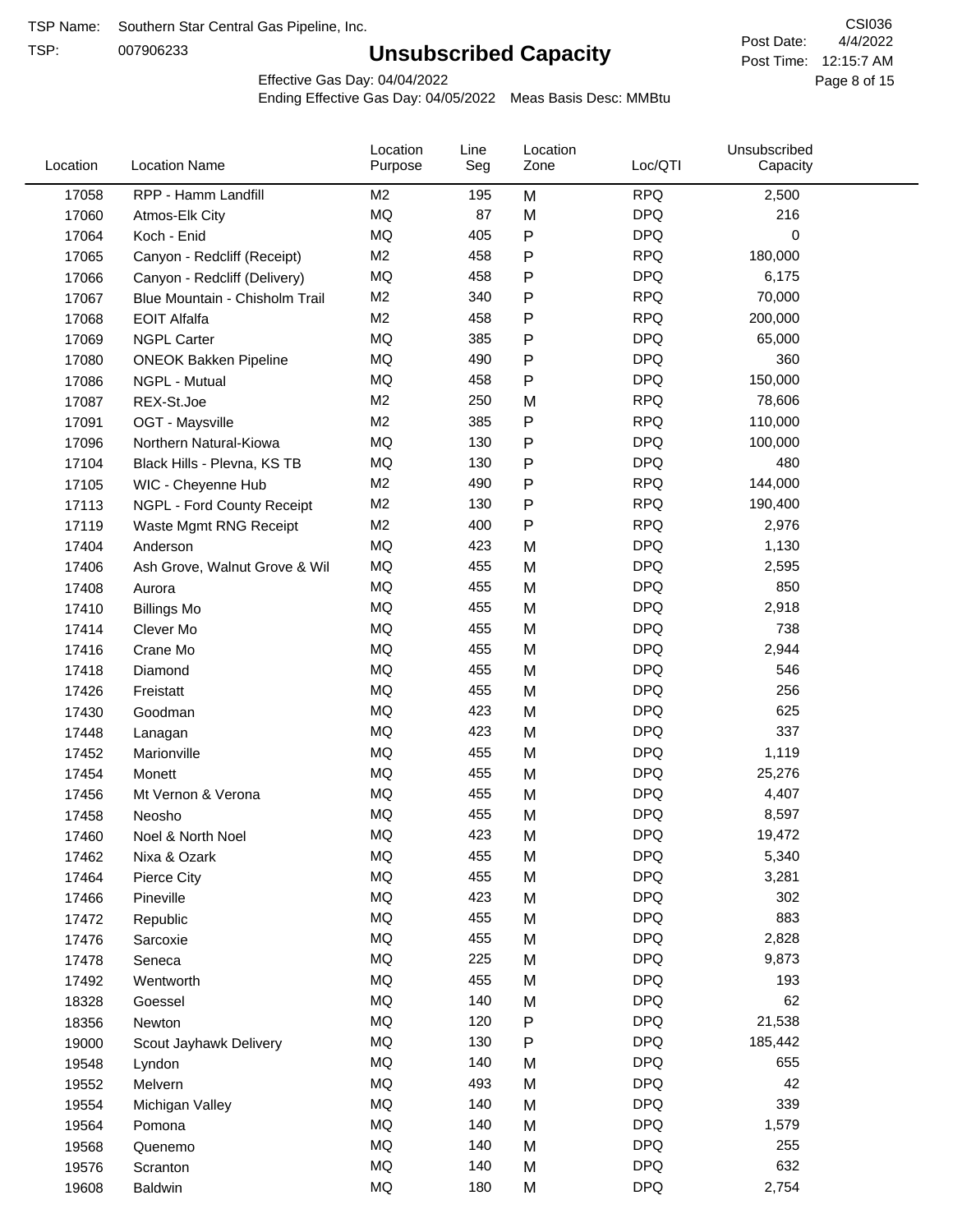TSP:

## **Unsubscribed Capacity**

4/4/2022 Page 8 of 15 Post Time: 12:15:7 AM CSI036 Post Date:

Effective Gas Day: 04/04/2022

| Location | <b>Location Name</b>           | Location<br>Purpose | Line<br>Seg | Location<br>Zone | Loc/QTI    | Unsubscribed<br>Capacity |  |
|----------|--------------------------------|---------------------|-------------|------------------|------------|--------------------------|--|
| 17058    | RPP - Hamm Landfill            | M <sub>2</sub>      | 195         | M                | <b>RPQ</b> | 2,500                    |  |
| 17060    | Atmos-Elk City                 | MQ                  | 87          | M                | <b>DPQ</b> | 216                      |  |
| 17064    | Koch - Enid                    | MQ                  | 405         | P                | <b>DPQ</b> | 0                        |  |
| 17065    | Canyon - Redcliff (Receipt)    | M <sub>2</sub>      | 458         | Ρ                | <b>RPQ</b> | 180,000                  |  |
| 17066    | Canyon - Redcliff (Delivery)   | MQ                  | 458         | Ρ                | <b>DPQ</b> | 6,175                    |  |
| 17067    | Blue Mountain - Chisholm Trail | M <sub>2</sub>      | 340         | Ρ                | <b>RPQ</b> | 70,000                   |  |
| 17068    | <b>EOIT Alfalfa</b>            | M <sub>2</sub>      | 458         | Ρ                | <b>RPQ</b> | 200,000                  |  |
| 17069    | <b>NGPL Carter</b>             | <b>MQ</b>           | 385         | Ρ                | <b>DPQ</b> | 65,000                   |  |
| 17080    | <b>ONEOK Bakken Pipeline</b>   | MQ                  | 490         | Ρ                | <b>DPQ</b> | 360                      |  |
| 17086    | NGPL - Mutual                  | MQ                  | 458         | P                | <b>DPQ</b> | 150,000                  |  |
| 17087    | REX-St.Joe                     | M <sub>2</sub>      | 250         | M                | <b>RPQ</b> | 78,606                   |  |
| 17091    | OGT - Maysville                | M <sub>2</sub>      | 385         | P                | <b>RPQ</b> | 110,000                  |  |
| 17096    | Northern Natural-Kiowa         | <b>MQ</b>           | 130         | Ρ                | <b>DPQ</b> | 100,000                  |  |
| 17104    | Black Hills - Plevna, KS TB    | MQ                  | 130         | Ρ                | <b>DPQ</b> | 480                      |  |
| 17105    | WIC - Cheyenne Hub             | M <sub>2</sub>      | 490         | P                | <b>RPQ</b> | 144,000                  |  |
| 17113    | NGPL - Ford County Receipt     | M <sub>2</sub>      | 130         | Ρ                | <b>RPQ</b> | 190,400                  |  |
| 17119    | Waste Mgmt RNG Receipt         | M <sub>2</sub>      | 400         | P                | <b>RPQ</b> | 2,976                    |  |
| 17404    | Anderson                       | MQ                  | 423         | M                | <b>DPQ</b> | 1,130                    |  |
| 17406    | Ash Grove, Walnut Grove & Wil  | MQ                  | 455         | M                | <b>DPQ</b> | 2,595                    |  |
| 17408    | Aurora                         | MQ                  | 455         | M                | <b>DPQ</b> | 850                      |  |
| 17410    | <b>Billings Mo</b>             | MQ                  | 455         | M                | <b>DPQ</b> | 2,918                    |  |
| 17414    | Clever Mo                      | <b>MQ</b>           | 455         | M                | <b>DPQ</b> | 738                      |  |
| 17416    | Crane Mo                       | MQ                  | 455         | M                | <b>DPQ</b> | 2,944                    |  |
| 17418    | Diamond                        | <b>MQ</b>           | 455         | M                | <b>DPQ</b> | 546                      |  |
| 17426    | Freistatt                      | <b>MQ</b>           | 455         | M                | <b>DPQ</b> | 256                      |  |
| 17430    | Goodman                        | MQ                  | 423         | M                | <b>DPQ</b> | 625                      |  |
| 17448    | Lanagan                        | MQ                  | 423         | M                | <b>DPQ</b> | 337                      |  |
| 17452    | Marionville                    | <b>MQ</b>           | 455         | M                | <b>DPQ</b> | 1,119                    |  |
| 17454    | Monett                         | <b>MQ</b>           | 455         | M                | <b>DPQ</b> | 25,276                   |  |
| 17456    | Mt Vernon & Verona             | MQ                  | 455         | M                | <b>DPQ</b> | 4,407                    |  |
| 17458    | Neosho                         | MQ                  | 455         | M                | <b>DPQ</b> | 8,597                    |  |
| 17460    | Noel & North Noel              | MQ                  | 423         | M                | <b>DPQ</b> | 19,472                   |  |
| 17462    | Nixa & Ozark                   | MQ                  | 455         | M                | <b>DPQ</b> | 5,340                    |  |
| 17464    | Pierce City                    | MQ                  | 455         | M                | <b>DPQ</b> | 3,281                    |  |
| 17466    | Pineville                      | MQ                  | 423         | M                | <b>DPQ</b> | 302                      |  |
| 17472    | Republic                       | MQ                  | 455         | M                | <b>DPQ</b> | 883                      |  |
| 17476    | Sarcoxie                       | MQ                  | 455         | M                | <b>DPQ</b> | 2,828                    |  |
| 17478    | Seneca                         | MQ                  | 225         | M                | <b>DPQ</b> | 9,873                    |  |
| 17492    | Wentworth                      | MQ                  | 455         | M                | <b>DPQ</b> | 193                      |  |
| 18328    | Goessel                        | MQ                  | 140         | M                | <b>DPQ</b> | 62                       |  |
| 18356    | Newton                         | MQ                  | 120         | P                | <b>DPQ</b> | 21,538                   |  |
| 19000    | Scout Jayhawk Delivery         | MQ                  | 130         | Ρ                | <b>DPQ</b> | 185,442                  |  |
| 19548    | Lyndon                         | MQ                  | 140         | M                | <b>DPQ</b> | 655                      |  |
| 19552    | Melvern                        | MQ                  | 493         | M                | <b>DPQ</b> | 42                       |  |
| 19554    | Michigan Valley                | MQ                  | 140         | M                | <b>DPQ</b> | 339                      |  |
| 19564    | Pomona                         | MQ                  | 140         | M                | <b>DPQ</b> | 1,579                    |  |
| 19568    | Quenemo                        | MQ                  | 140         | M                | <b>DPQ</b> | 255                      |  |
| 19576    | Scranton                       | MQ                  | 140         | M                | <b>DPQ</b> | 632                      |  |
| 19608    | <b>Baldwin</b>                 | $\sf{MQ}$           | 180         | M                | <b>DPQ</b> | 2,754                    |  |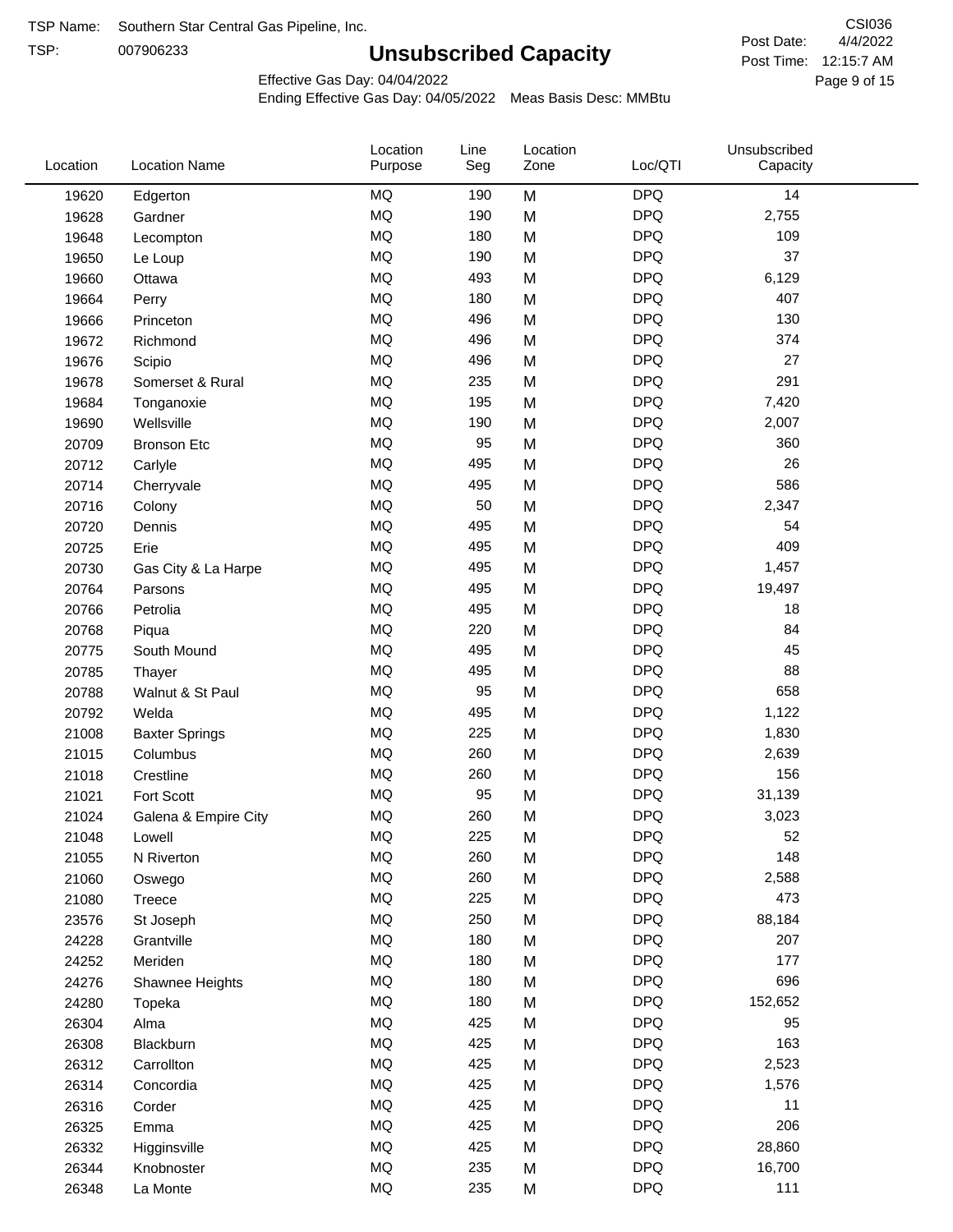TSP:

## **Unsubscribed Capacity**

4/4/2022 Page 9 of 15 Post Time: 12:15:7 AM CSI036 Post Date:

Effective Gas Day: 04/04/2022

| Location | <b>Location Name</b>  | Location<br>Purpose | Line<br>Seg | Location<br>Zone | Loc/QTI    | Unsubscribed<br>Capacity |  |
|----------|-----------------------|---------------------|-------------|------------------|------------|--------------------------|--|
| 19620    | Edgerton              | <b>MQ</b>           | 190         | M                | <b>DPQ</b> | 14                       |  |
| 19628    | Gardner               | MQ                  | 190         | M                | <b>DPQ</b> | 2,755                    |  |
| 19648    | Lecompton             | MQ                  | 180         | M                | <b>DPQ</b> | 109                      |  |
| 19650    | Le Loup               | <b>MQ</b>           | 190         | M                | <b>DPQ</b> | 37                       |  |
| 19660    | Ottawa                | <b>MQ</b>           | 493         | M                | <b>DPQ</b> | 6,129                    |  |
| 19664    | Perry                 | <b>MQ</b>           | 180         | M                | <b>DPQ</b> | 407                      |  |
| 19666    | Princeton             | MQ                  | 496         | M                | <b>DPQ</b> | 130                      |  |
| 19672    | Richmond              | MQ                  | 496         | M                | <b>DPQ</b> | 374                      |  |
| 19676    | Scipio                | MQ                  | 496         | M                | <b>DPQ</b> | 27                       |  |
| 19678    | Somerset & Rural      | <b>MQ</b>           | 235         | M                | <b>DPQ</b> | 291                      |  |
| 19684    | Tonganoxie            | <b>MQ</b>           | 195         | M                | <b>DPQ</b> | 7,420                    |  |
| 19690    | Wellsville            | MQ                  | 190         | M                | <b>DPQ</b> | 2,007                    |  |
| 20709    | <b>Bronson Etc</b>    | MQ                  | 95          | M                | <b>DPQ</b> | 360                      |  |
| 20712    | Carlyle               | <b>MQ</b>           | 495         | M                | <b>DPQ</b> | 26                       |  |
| 20714    | Cherryvale            | <b>MQ</b>           | 495         | M                | <b>DPQ</b> | 586                      |  |
| 20716    | Colony                | <b>MQ</b>           | 50          | M                | <b>DPQ</b> | 2,347                    |  |
| 20720    | Dennis                | <b>MQ</b>           | 495         | M                | <b>DPQ</b> | 54                       |  |
| 20725    | Erie                  | <b>MQ</b>           | 495         | M                | <b>DPQ</b> | 409                      |  |
| 20730    | Gas City & La Harpe   | <b>MQ</b>           | 495         | M                | <b>DPQ</b> | 1,457                    |  |
| 20764    | Parsons               | <b>MQ</b>           | 495         | M                | <b>DPQ</b> | 19,497                   |  |
| 20766    | Petrolia              | MQ                  | 495         | M                | <b>DPQ</b> | 18                       |  |
| 20768    | Piqua                 | MQ                  | 220         | M                | <b>DPQ</b> | 84                       |  |
| 20775    | South Mound           | MQ                  | 495         | M                | <b>DPQ</b> | 45                       |  |
| 20785    | Thayer                | <b>MQ</b>           | 495         | M                | <b>DPQ</b> | 88                       |  |
| 20788    | Walnut & St Paul      | <b>MQ</b>           | 95          | M                | <b>DPQ</b> | 658                      |  |
| 20792    | Welda                 | <b>MQ</b>           | 495         | M                | <b>DPQ</b> | 1,122                    |  |
| 21008    | <b>Baxter Springs</b> | <b>MQ</b>           | 225         | M                | <b>DPQ</b> | 1,830                    |  |
| 21015    | Columbus              | <b>MQ</b>           | 260         | M                | <b>DPQ</b> | 2,639                    |  |
| 21018    | Crestline             | MQ                  | 260         | M                | <b>DPQ</b> | 156                      |  |
| 21021    | Fort Scott            | MQ                  | 95          | M                | <b>DPQ</b> | 31,139                   |  |
| 21024    | Galena & Empire City  | <b>MQ</b>           | 260         | M                | <b>DPQ</b> | 3,023                    |  |
| 21048    | Lowell                | <b>MQ</b>           | 225         | M                | <b>DPQ</b> | 52                       |  |
| 21055    | N Riverton            | MQ                  | 260         | M                | <b>DPQ</b> | 148                      |  |
| 21060    | Oswego                | $\sf{MQ}$           | 260         | M                | <b>DPQ</b> | 2,588                    |  |
| 21080    | Treece                | MQ                  | 225         | M                | <b>DPQ</b> | 473                      |  |
| 23576    | St Joseph             | MQ                  | 250         | M                | <b>DPQ</b> | 88,184                   |  |
| 24228    | Grantville            | MQ                  | 180         | M                | <b>DPQ</b> | 207                      |  |
| 24252    | Meriden               | MQ                  | 180         | M                | <b>DPQ</b> | 177                      |  |
| 24276    | Shawnee Heights       | MQ                  | 180         | M                | <b>DPQ</b> | 696                      |  |
| 24280    | Topeka                | MQ                  | 180         | M                | <b>DPQ</b> | 152,652                  |  |
| 26304    | Alma                  | MQ                  | 425         | M                | <b>DPQ</b> | 95                       |  |
| 26308    | Blackburn             | MQ                  | 425         | M                | <b>DPQ</b> | 163                      |  |
| 26312    | Carrollton            | MQ                  | 425         | M                | <b>DPQ</b> | 2,523                    |  |
| 26314    | Concordia             | <b>MQ</b>           | 425         | M                | <b>DPQ</b> | 1,576                    |  |
| 26316    | Corder                | MQ                  | 425         | M                | <b>DPQ</b> | 11                       |  |
| 26325    | Emma                  | MQ                  | 425         | M                | <b>DPQ</b> | 206                      |  |
| 26332    | Higginsville          | MQ                  | 425         | M                | <b>DPQ</b> | 28,860                   |  |
| 26344    | Knobnoster            | $\sf{MQ}$           | 235         | M                | <b>DPQ</b> | 16,700                   |  |
| 26348    | La Monte              | MQ                  | 235         | M                | <b>DPQ</b> | 111                      |  |
|          |                       |                     |             |                  |            |                          |  |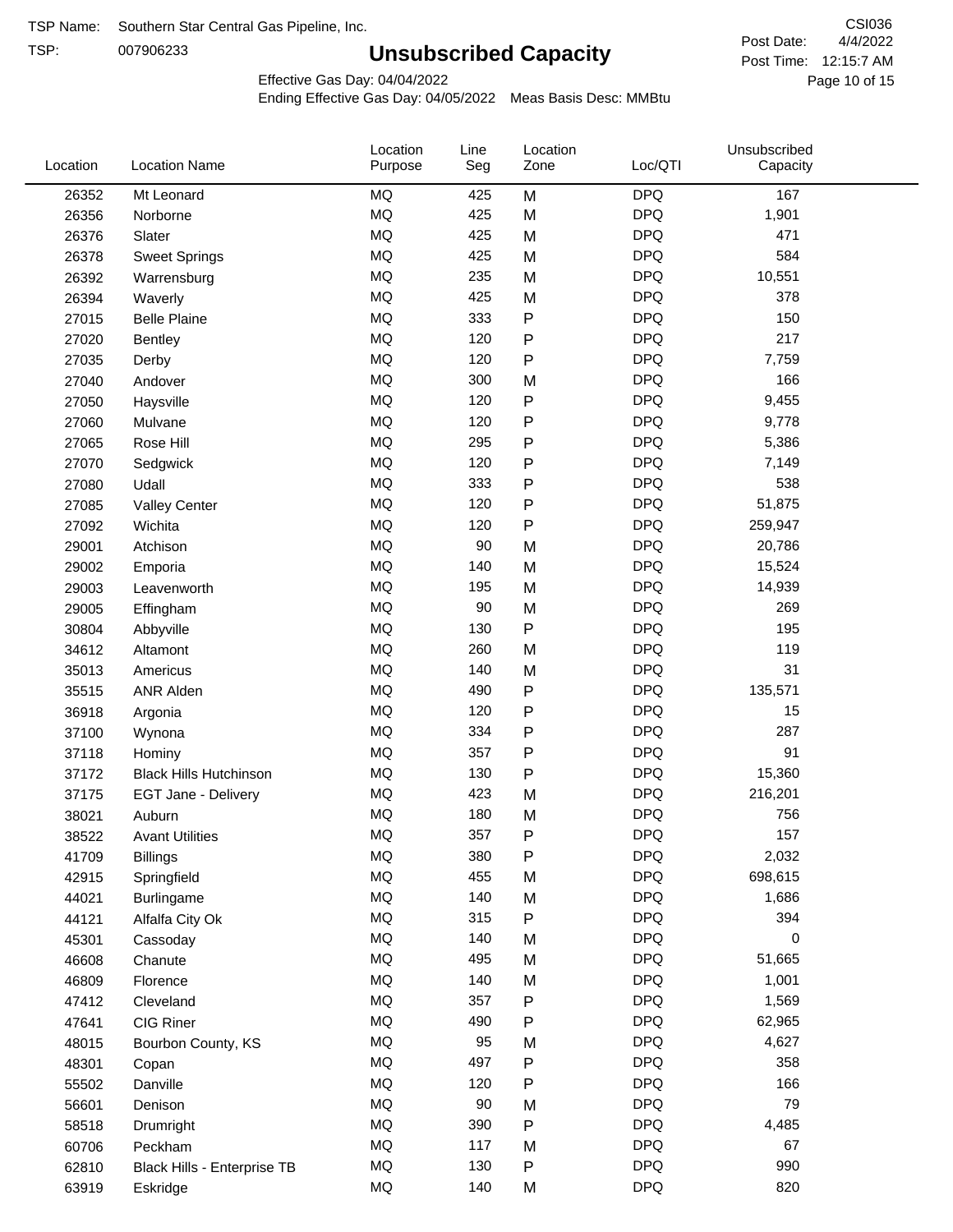TSP:

## **Unsubscribed Capacity**

4/4/2022 Page 10 of 15 Post Time: 12:15:7 AM CSI036 Post Date:

Effective Gas Day: 04/04/2022

| Location | <b>Location Name</b>          | Location<br>Purpose | Line<br>Seg | Location<br>Zone | Loc/QTI    | Unsubscribed<br>Capacity |  |
|----------|-------------------------------|---------------------|-------------|------------------|------------|--------------------------|--|
| 26352    | Mt Leonard                    | <b>MQ</b>           | 425         | M                | <b>DPQ</b> | 167                      |  |
| 26356    | Norborne                      | MQ                  | 425         | M                | <b>DPQ</b> | 1,901                    |  |
| 26376    | Slater                        | MQ                  | 425         | M                | <b>DPQ</b> | 471                      |  |
| 26378    | <b>Sweet Springs</b>          | MQ                  | 425         | M                | <b>DPQ</b> | 584                      |  |
| 26392    | Warrensburg                   | MQ                  | 235         | M                | <b>DPQ</b> | 10,551                   |  |
| 26394    | Waverly                       | <b>MQ</b>           | 425         | M                | <b>DPQ</b> | 378                      |  |
| 27015    | <b>Belle Plaine</b>           | MQ                  | 333         | ${\sf P}$        | <b>DPQ</b> | 150                      |  |
| 27020    | <b>Bentley</b>                | <b>MQ</b>           | 120         | ${\sf P}$        | <b>DPQ</b> | 217                      |  |
| 27035    | Derby                         | MQ                  | 120         | ${\sf P}$        | <b>DPQ</b> | 7,759                    |  |
| 27040    | Andover                       | <b>MQ</b>           | 300         | M                | <b>DPQ</b> | 166                      |  |
| 27050    | Haysville                     | MQ                  | 120         | ${\sf P}$        | <b>DPQ</b> | 9,455                    |  |
| 27060    | Mulvane                       | MQ                  | 120         | P                | <b>DPQ</b> | 9,778                    |  |
| 27065    | Rose Hill                     | MQ                  | 295         | P                | <b>DPQ</b> | 5,386                    |  |
| 27070    | Sedgwick                      | <b>MQ</b>           | 120         | ${\sf P}$        | <b>DPQ</b> | 7,149                    |  |
| 27080    | Udall                         | MQ                  | 333         | ${\sf P}$        | <b>DPQ</b> | 538                      |  |
| 27085    | <b>Valley Center</b>          | <b>MQ</b>           | 120         | P                | <b>DPQ</b> | 51,875                   |  |
| 27092    | Wichita                       | MQ                  | 120         | ${\sf P}$        | <b>DPQ</b> | 259,947                  |  |
| 29001    | Atchison                      | MQ                  | 90          | M                | <b>DPQ</b> | 20,786                   |  |
| 29002    | Emporia                       | MQ                  | 140         | M                | <b>DPQ</b> | 15,524                   |  |
| 29003    | Leavenworth                   | MQ                  | 195         | M                | <b>DPQ</b> | 14,939                   |  |
| 29005    | Effingham                     | MQ                  | 90          | M                | <b>DPQ</b> | 269                      |  |
| 30804    | Abbyville                     | <b>MQ</b>           | 130         | ${\sf P}$        | <b>DPQ</b> | 195                      |  |
| 34612    | Altamont                      | <b>MQ</b>           | 260         | M                | <b>DPQ</b> | 119                      |  |
| 35013    | Americus                      | MQ                  | 140         | M                | <b>DPQ</b> | 31                       |  |
| 35515    | <b>ANR Alden</b>              | <b>MQ</b>           | 490         | ${\sf P}$        | <b>DPQ</b> | 135,571                  |  |
| 36918    | Argonia                       | MQ                  | 120         | ${\sf P}$        | <b>DPQ</b> | 15                       |  |
| 37100    | Wynona                        | MQ                  | 334         | Ρ                | <b>DPQ</b> | 287                      |  |
| 37118    | Hominy                        | MQ                  | 357         | P                | <b>DPQ</b> | 91                       |  |
| 37172    | <b>Black Hills Hutchinson</b> | MQ                  | 130         | ${\sf P}$        | <b>DPQ</b> | 15,360                   |  |
| 37175    | EGT Jane - Delivery           | MQ                  | 423         | M                | <b>DPQ</b> | 216,201                  |  |
| 38021    | Auburn                        | <b>MQ</b>           | 180         | M                | <b>DPQ</b> | 756                      |  |
| 38522    | <b>Avant Utilities</b>        | <b>MQ</b>           | 357         | P                | <b>DPQ</b> | 157                      |  |
| 41709    | <b>Billings</b>               | MQ                  | 380         | P                | <b>DPQ</b> | 2,032                    |  |
| 42915    | Springfield                   | MQ                  | 455         | M                | <b>DPQ</b> | 698,615                  |  |
| 44021    | Burlingame                    | MQ                  | 140         | M                | <b>DPQ</b> | 1,686                    |  |
| 44121    | Alfalfa City Ok               | MQ                  | 315         | ${\sf P}$        | <b>DPQ</b> | 394                      |  |
| 45301    | Cassoday                      | MQ                  | 140         | M                | <b>DPQ</b> | 0                        |  |
| 46608    | Chanute                       | MQ                  | 495         | M                | <b>DPQ</b> | 51,665                   |  |
| 46809    | Florence                      | MQ                  | 140         | M                | <b>DPQ</b> | 1,001                    |  |
| 47412    | Cleveland                     | MQ                  | 357         | P                | <b>DPQ</b> | 1,569                    |  |
| 47641    | CIG Riner                     | MQ                  | 490         | P                | <b>DPQ</b> | 62,965                   |  |
| 48015    | Bourbon County, KS            | MQ                  | 95          | M                | <b>DPQ</b> | 4,627                    |  |
| 48301    | Copan                         | MQ                  | 497         | ${\sf P}$        | <b>DPQ</b> | 358                      |  |
| 55502    | Danville                      | MQ                  | 120         | ${\sf P}$        | <b>DPQ</b> | 166                      |  |
| 56601    | Denison                       | MQ                  | 90          | M                | <b>DPQ</b> | 79                       |  |
| 58518    | Drumright                     | MQ                  | 390         | P                | <b>DPQ</b> | 4,485                    |  |
| 60706    | Peckham                       | MQ                  | 117         | M                | <b>DPQ</b> | 67                       |  |
| 62810    | Black Hills - Enterprise TB   | MQ                  | 130         | ${\sf P}$        | <b>DPQ</b> | 990                      |  |
| 63919    | Eskridge                      | $\sf{MQ}$           | 140         | M                | <b>DPQ</b> | 820                      |  |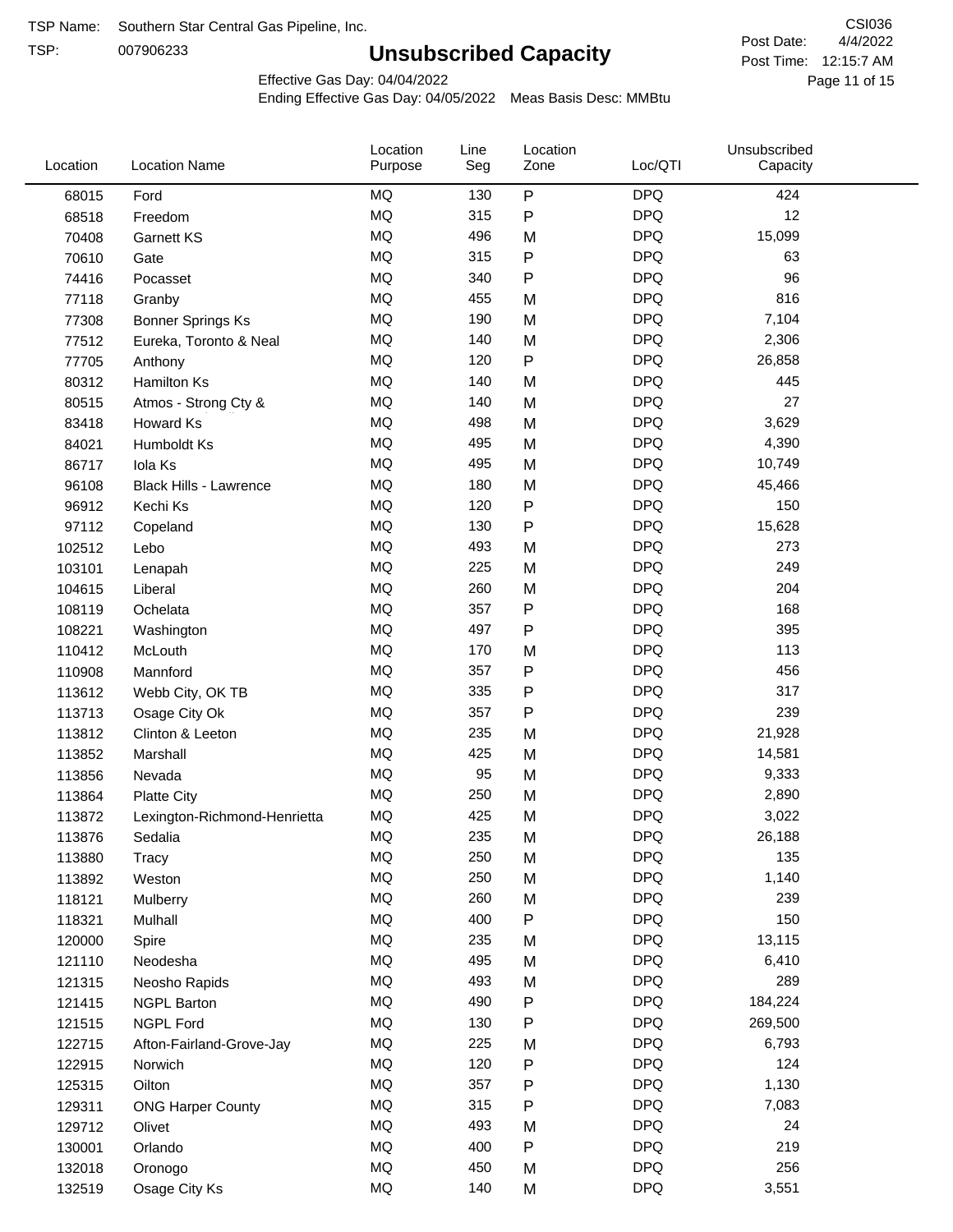TSP:

## **Unsubscribed Capacity**

4/4/2022 Page 11 of 15 Post Time: 12:15:7 AM CSI036 Post Date:

Effective Gas Day: 04/04/2022

| Location         | <b>Location Name</b>          | Location<br>Purpose | Line<br>Seg | Location<br>Zone | Loc/QTI    | Unsubscribed<br>Capacity |  |
|------------------|-------------------------------|---------------------|-------------|------------------|------------|--------------------------|--|
| 68015            | Ford                          | <b>MQ</b>           | 130         | P                | <b>DPQ</b> | 424                      |  |
| 68518            | Freedom                       | MQ                  | 315         | P                | <b>DPQ</b> | 12                       |  |
| 70408            | <b>Garnett KS</b>             | <b>MQ</b>           | 496         | M                | <b>DPQ</b> | 15,099                   |  |
| 70610            | Gate                          | <b>MQ</b>           | 315         | P                | <b>DPQ</b> | 63                       |  |
| 74416            | Pocasset                      | <b>MQ</b>           | 340         | P                | <b>DPQ</b> | 96                       |  |
| 77118            | Granby                        | <b>MQ</b>           | 455         | M                | <b>DPQ</b> | 816                      |  |
| 77308            | <b>Bonner Springs Ks</b>      | <b>MQ</b>           | 190         | M                | <b>DPQ</b> | 7,104                    |  |
| 77512            | Eureka, Toronto & Neal        | <b>MQ</b>           | 140         | M                | <b>DPQ</b> | 2,306                    |  |
| 77705            | Anthony                       | <b>MQ</b>           | 120         | P                | <b>DPQ</b> | 26,858                   |  |
| 80312            | <b>Hamilton Ks</b>            | <b>MQ</b>           | 140         | M                | <b>DPQ</b> | 445                      |  |
| 80515            | Atmos - Strong Cty &          | <b>MQ</b>           | 140         | M                | <b>DPQ</b> | 27                       |  |
| 83418            | Howard Ks                     | <b>MQ</b>           | 498         | M                | <b>DPQ</b> | 3,629                    |  |
| 84021            | Humboldt Ks                   | <b>MQ</b>           | 495         | M                | <b>DPQ</b> | 4,390                    |  |
| 86717            | Iola Ks                       | <b>MQ</b>           | 495         | M                | <b>DPQ</b> | 10,749                   |  |
| 96108            | <b>Black Hills - Lawrence</b> | <b>MQ</b>           | 180         | M                | <b>DPQ</b> | 45,466                   |  |
| 96912            | Kechi Ks                      | <b>MQ</b>           | 120         | P                | <b>DPQ</b> | 150                      |  |
| 97112            | Copeland                      | <b>MQ</b>           | 130         | P                | <b>DPQ</b> | 15,628                   |  |
| 102512           | Lebo                          | <b>MQ</b>           | 493         | M                | <b>DPQ</b> | 273                      |  |
| 103101           | Lenapah                       | <b>MQ</b>           | 225         | M                | <b>DPQ</b> | 249                      |  |
| 104615           | Liberal                       | <b>MQ</b>           | 260         | M                | <b>DPQ</b> | 204                      |  |
| 108119           | Ochelata                      | <b>MQ</b>           | 357         | P                | <b>DPQ</b> | 168                      |  |
| 108221           | Washington                    | <b>MQ</b>           | 497         | P                | <b>DPQ</b> | 395                      |  |
| 110412           | McLouth                       | <b>MQ</b>           | 170         | M                | <b>DPQ</b> | 113                      |  |
| 110908           | Mannford                      | <b>MQ</b>           | 357         | P                | <b>DPQ</b> | 456                      |  |
| 113612           | Webb City, OK TB              | <b>MQ</b>           | 335         | P                | <b>DPQ</b> | 317                      |  |
| 113713           | Osage City Ok                 | <b>MQ</b>           | 357         | P                | <b>DPQ</b> | 239                      |  |
| 113812           | Clinton & Leeton              | <b>MQ</b>           | 235         | M                | <b>DPQ</b> | 21,928                   |  |
| 113852           | Marshall                      | <b>MQ</b>           | 425         | M                | <b>DPQ</b> | 14,581                   |  |
| 113856           | Nevada                        | <b>MQ</b>           | 95          | M                | <b>DPQ</b> | 9,333                    |  |
| 113864           | <b>Platte City</b>            | <b>MQ</b>           | 250         | M                | <b>DPQ</b> | 2,890                    |  |
| 113872           | Lexington-Richmond-Henrietta  | <b>MQ</b>           | 425         | M                | <b>DPQ</b> | 3,022                    |  |
| 113876           | Sedalia                       | <b>MQ</b>           | 235         | M                | <b>DPQ</b> | 26,188                   |  |
| 113880           | Tracy                         | MQ                  | 250         | M                | <b>DPQ</b> | 135                      |  |
| 113892           | Weston                        | MQ                  | 250         | M                | <b>DPQ</b> | 1,140                    |  |
| 118121           | Mulberry                      | <b>MQ</b>           | 260         | M                | <b>DPQ</b> | 239                      |  |
| 118321           | Mulhall                       | MQ                  | 400         | P                | <b>DPQ</b> | 150                      |  |
| 120000           | Spire                         | <b>MQ</b>           | 235         | M                | <b>DPQ</b> | 13,115                   |  |
| 121110           | Neodesha                      | MQ                  | 495         | M                | <b>DPQ</b> | 6,410                    |  |
| 121315           | Neosho Rapids                 | MQ                  | 493         | M                | <b>DPQ</b> | 289                      |  |
| 121415           | <b>NGPL Barton</b>            | MQ                  | 490         | Ρ                | <b>DPQ</b> | 184,224                  |  |
| 121515           | <b>NGPL Ford</b>              | MQ                  | 130         | Ρ                | <b>DPQ</b> | 269,500                  |  |
|                  |                               | MQ                  | 225         |                  | <b>DPQ</b> | 6,793                    |  |
| 122715<br>122915 | Afton-Fairland-Grove-Jay      | MQ                  | 120         | M<br>P           | <b>DPQ</b> | 124                      |  |
|                  | Norwich                       | MQ                  | 357         | Ρ                | <b>DPQ</b> | 1,130                    |  |
| 125315           | Oilton                        | MQ                  | 315         |                  | <b>DPQ</b> | 7,083                    |  |
| 129311           | <b>ONG Harper County</b>      | MQ                  | 493         | Ρ                | <b>DPQ</b> | 24                       |  |
| 129712           | Olivet                        | MQ                  | 400         | M                | <b>DPQ</b> | 219                      |  |
| 130001           | Orlando                       |                     |             | P                |            |                          |  |
| 132018           | Oronogo                       | MQ                  | 450         | M                | <b>DPQ</b> | 256                      |  |
| 132519           | Osage City Ks                 | <b>MQ</b>           | 140         | M                | <b>DPQ</b> | 3,551                    |  |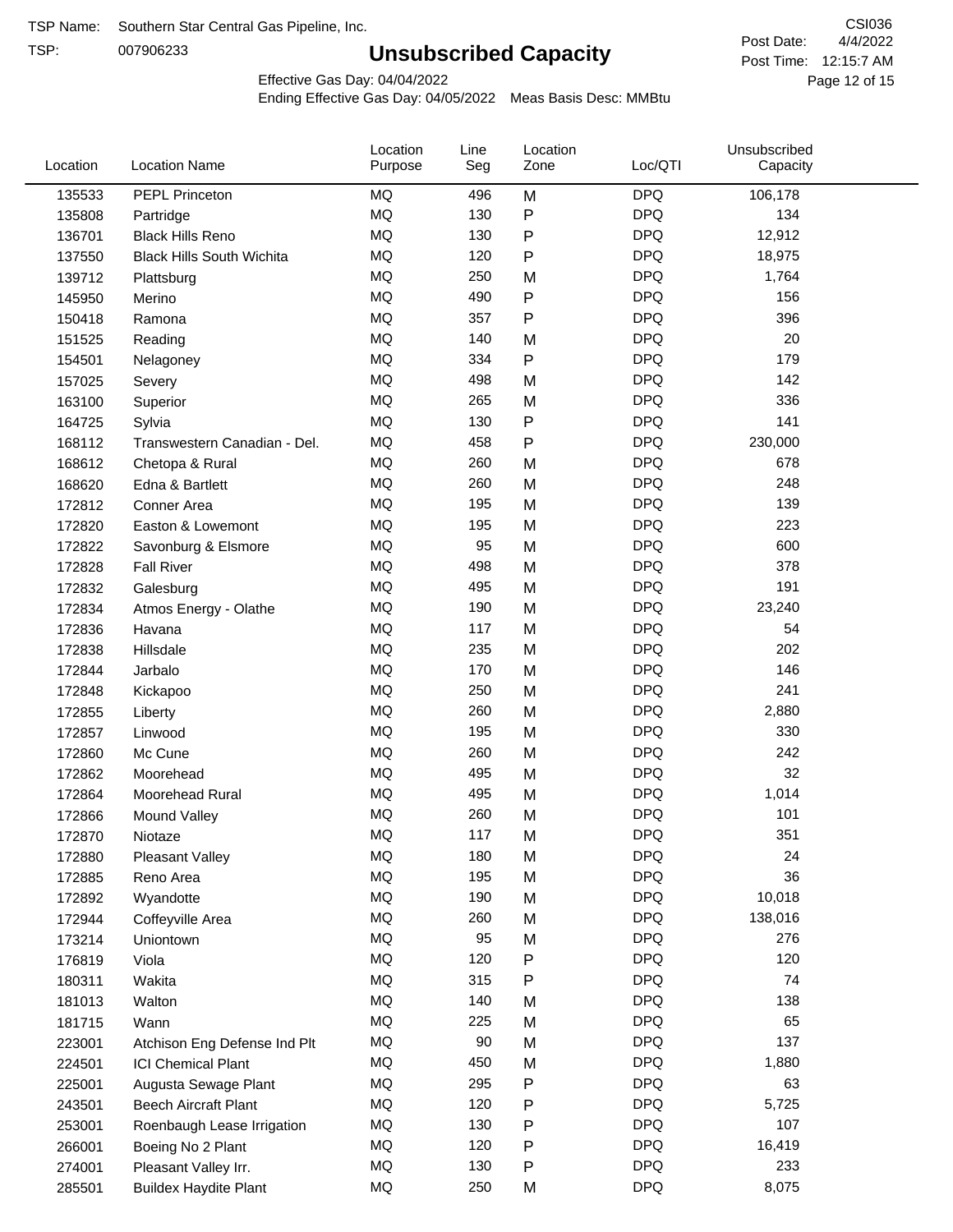TSP:

## **Unsubscribed Capacity**

4/4/2022 Page 12 of 15 Post Time: 12:15:7 AM CSI036 Post Date:

Effective Gas Day: 04/04/2022

| Location | <b>Location Name</b>             | Location<br>Purpose | Line<br>Seg | Location<br>Zone | Loc/QTI    | Unsubscribed<br>Capacity |  |
|----------|----------------------------------|---------------------|-------------|------------------|------------|--------------------------|--|
| 135533   | PEPL Princeton                   | MQ                  | 496         | M                | <b>DPQ</b> | 106,178                  |  |
| 135808   | Partridge                        | MQ                  | 130         | P                | <b>DPQ</b> | 134                      |  |
| 136701   | <b>Black Hills Reno</b>          | MQ                  | 130         | P                | <b>DPQ</b> | 12,912                   |  |
| 137550   | <b>Black Hills South Wichita</b> | MQ                  | 120         | P                | <b>DPQ</b> | 18,975                   |  |
| 139712   | Plattsburg                       | MQ                  | 250         | M                | <b>DPQ</b> | 1,764                    |  |
| 145950   | Merino                           | MQ                  | 490         | P                | <b>DPQ</b> | 156                      |  |
| 150418   | Ramona                           | MQ                  | 357         | P                | <b>DPQ</b> | 396                      |  |
| 151525   | Reading                          | MQ                  | 140         | M                | <b>DPQ</b> | 20                       |  |
| 154501   | Nelagoney                        | MQ                  | 334         | P                | <b>DPQ</b> | 179                      |  |
| 157025   | Severy                           | MQ                  | 498         | M                | <b>DPQ</b> | 142                      |  |
| 163100   | Superior                         | MQ                  | 265         | M                | <b>DPQ</b> | 336                      |  |
| 164725   | Sylvia                           | MQ                  | 130         | P                | <b>DPQ</b> | 141                      |  |
| 168112   | Transwestern Canadian - Del.     | MQ                  | 458         | P                | <b>DPQ</b> | 230,000                  |  |
| 168612   | Chetopa & Rural                  | MQ                  | 260         | M                | <b>DPQ</b> | 678                      |  |
| 168620   | Edna & Bartlett                  | MQ                  | 260         | M                | <b>DPQ</b> | 248                      |  |
| 172812   | Conner Area                      | MQ                  | 195         | M                | <b>DPQ</b> | 139                      |  |
| 172820   | Easton & Lowemont                | MQ                  | 195         | M                | <b>DPQ</b> | 223                      |  |
| 172822   | Savonburg & Elsmore              | MQ                  | 95          | M                | <b>DPQ</b> | 600                      |  |
| 172828   | <b>Fall River</b>                | MQ                  | 498         | M                | <b>DPQ</b> | 378                      |  |
| 172832   | Galesburg                        | MQ                  | 495         | M                | <b>DPQ</b> | 191                      |  |
| 172834   | Atmos Energy - Olathe            | MQ                  | 190         | M                | <b>DPQ</b> | 23,240                   |  |
| 172836   | Havana                           | MQ                  | 117         | M                | <b>DPQ</b> | 54                       |  |
| 172838   | Hillsdale                        | MQ                  | 235         | M                | <b>DPQ</b> | 202                      |  |
| 172844   | Jarbalo                          | <b>MQ</b>           | 170         | M                | <b>DPQ</b> | 146                      |  |
| 172848   | Kickapoo                         | <b>MQ</b>           | 250         | M                | <b>DPQ</b> | 241                      |  |
| 172855   | Liberty                          | MQ                  | 260         | M                | <b>DPQ</b> | 2,880                    |  |
| 172857   | Linwood                          | MQ                  | 195         | M                | <b>DPQ</b> | 330                      |  |
| 172860   | Mc Cune                          | MQ                  | 260         | M                | <b>DPQ</b> | 242                      |  |
| 172862   | Moorehead                        | MQ                  | 495         | M                | <b>DPQ</b> | 32                       |  |
| 172864   | Moorehead Rural                  | MQ                  | 495         | M                | <b>DPQ</b> | 1,014                    |  |
| 172866   | Mound Valley                     | MQ                  | 260         | M                | <b>DPQ</b> | 101                      |  |
| 172870   | Niotaze                          | MQ                  | 117         | M                | <b>DPQ</b> | 351                      |  |
| 172880   | <b>Pleasant Valley</b>           | MQ                  | 180         | M                | <b>DPQ</b> | 24                       |  |
| 172885   | Reno Area                        | $\sf{MQ}$           | 195         | M                | <b>DPQ</b> | 36                       |  |
| 172892   | Wyandotte                        | MQ                  | 190         | M                | <b>DPQ</b> | 10,018                   |  |
| 172944   | Coffeyville Area                 | $\sf{MQ}$           | 260         | M                | <b>DPQ</b> | 138,016                  |  |
| 173214   | Uniontown                        | MQ                  | 95          | M                | <b>DPQ</b> | 276                      |  |
| 176819   | Viola                            | MQ                  | 120         | P                | <b>DPQ</b> | 120                      |  |
| 180311   | Wakita                           | MQ                  | 315         | P                | <b>DPQ</b> | 74                       |  |
| 181013   | Walton                           | MQ                  | 140         | M                | <b>DPQ</b> | 138                      |  |
| 181715   | Wann                             | MQ                  | 225         | M                | <b>DPQ</b> | 65                       |  |
| 223001   | Atchison Eng Defense Ind Plt     | MQ                  | 90          | M                | <b>DPQ</b> | 137                      |  |
| 224501   | <b>ICI Chemical Plant</b>        | $\sf{MQ}$           | 450         | M                | <b>DPQ</b> | 1,880                    |  |
| 225001   | Augusta Sewage Plant             | MQ                  | 295         | P                | <b>DPQ</b> | 63                       |  |
| 243501   | <b>Beech Aircraft Plant</b>      | MQ                  | 120         | P                | <b>DPQ</b> | 5,725                    |  |
| 253001   | Roenbaugh Lease Irrigation       | MQ                  | 130         | P                | <b>DPQ</b> | 107                      |  |
| 266001   | Boeing No 2 Plant                | MQ                  | 120         | P                | <b>DPQ</b> | 16,419                   |  |
| 274001   | Pleasant Valley Irr.             | MQ                  | 130         | P                | <b>DPQ</b> | 233                      |  |
| 285501   | <b>Buildex Haydite Plant</b>     | MQ                  | 250         | M                | <b>DPQ</b> | 8,075                    |  |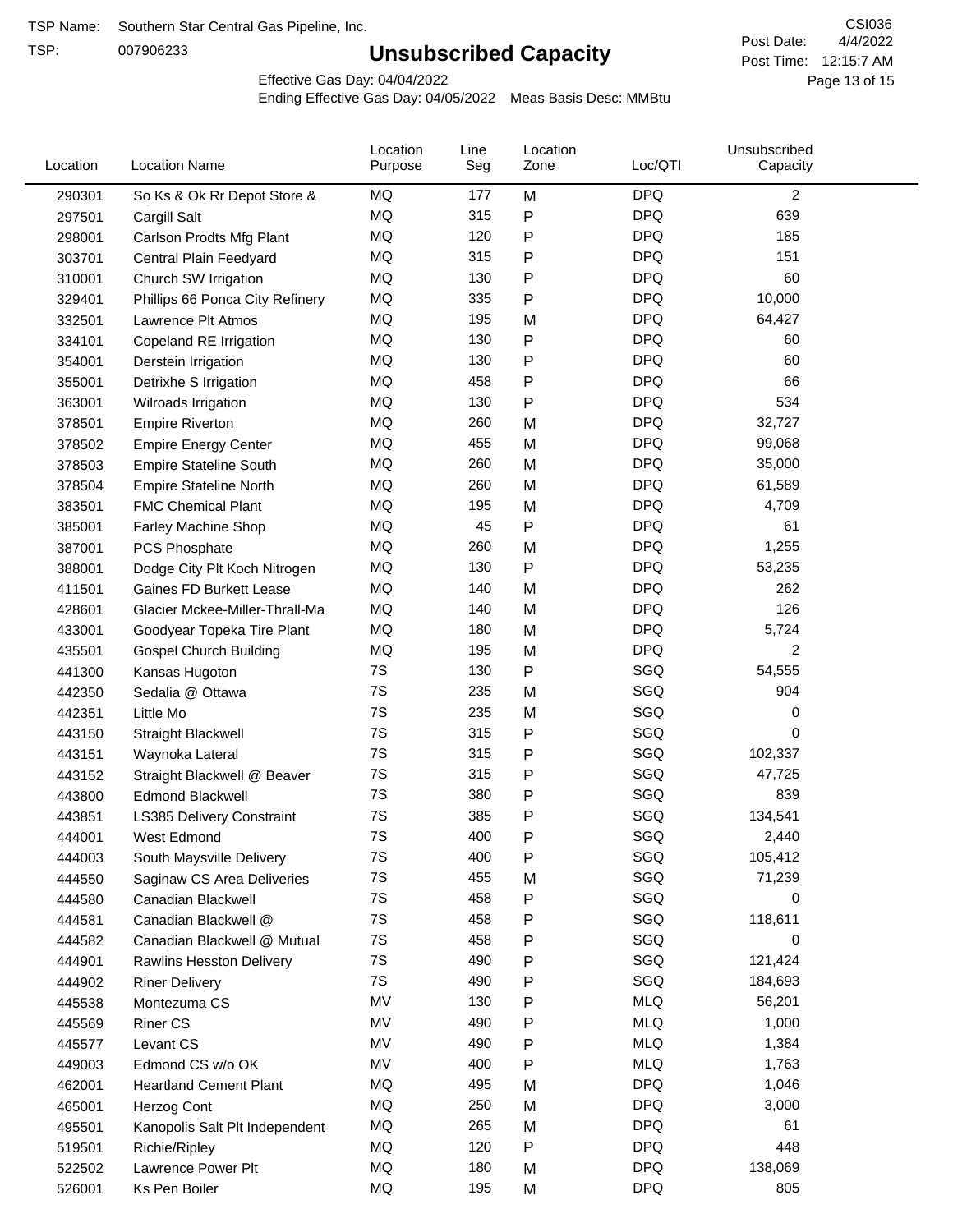TSP:

## **Unsubscribed Capacity**

4/4/2022 Page 13 of 15 Post Time: 12:15:7 AM CSI036 Post Date:

Effective Gas Day: 04/04/2022

| Location | <b>Location Name</b>            | Location<br>Purpose | Line<br>Seg | Location<br>Zone | Loc/QTI    | Unsubscribed<br>Capacity |  |
|----------|---------------------------------|---------------------|-------------|------------------|------------|--------------------------|--|
| 290301   | So Ks & Ok Rr Depot Store &     | MQ                  | 177         | M                | <b>DPQ</b> | $\overline{c}$           |  |
| 297501   | Cargill Salt                    | MQ                  | 315         | P                | <b>DPQ</b> | 639                      |  |
| 298001   | Carlson Prodts Mfg Plant        | MQ                  | 120         | P                | <b>DPQ</b> | 185                      |  |
| 303701   | Central Plain Feedyard          | MQ                  | 315         | Ρ                | <b>DPQ</b> | 151                      |  |
| 310001   | Church SW Irrigation            | MQ                  | 130         | P                | <b>DPQ</b> | 60                       |  |
| 329401   | Phillips 66 Ponca City Refinery | MQ                  | 335         | Ρ                | <b>DPQ</b> | 10,000                   |  |
| 332501   | Lawrence Plt Atmos              | MQ                  | 195         | M                | <b>DPQ</b> | 64,427                   |  |
| 334101   | Copeland RE Irrigation          | MQ                  | 130         | P                | <b>DPQ</b> | 60                       |  |
| 354001   | Derstein Irrigation             | MQ                  | 130         | P                | <b>DPQ</b> | 60                       |  |
| 355001   | Detrixhe S Irrigation           | MQ                  | 458         | P                | <b>DPQ</b> | 66                       |  |
| 363001   | Wilroads Irrigation             | MQ                  | 130         | Ρ                | <b>DPQ</b> | 534                      |  |
| 378501   | <b>Empire Riverton</b>          | MQ                  | 260         | M                | <b>DPQ</b> | 32,727                   |  |
| 378502   | <b>Empire Energy Center</b>     | <b>MQ</b>           | 455         | M                | <b>DPQ</b> | 99,068                   |  |
| 378503   | <b>Empire Stateline South</b>   | MQ                  | 260         | M                | <b>DPQ</b> | 35,000                   |  |
| 378504   | <b>Empire Stateline North</b>   | MQ                  | 260         | M                | <b>DPQ</b> | 61,589                   |  |
| 383501   | <b>FMC Chemical Plant</b>       | MQ                  | 195         | M                | <b>DPQ</b> | 4,709                    |  |
| 385001   | Farley Machine Shop             | MQ                  | 45          | P                | <b>DPQ</b> | 61                       |  |
| 387001   | PCS Phosphate                   | MQ                  | 260         | M                | <b>DPQ</b> | 1,255                    |  |
| 388001   | Dodge City Plt Koch Nitrogen    | MQ                  | 130         | P                | <b>DPQ</b> | 53,235                   |  |
| 411501   | Gaines FD Burkett Lease         | MQ                  | 140         | M                | <b>DPQ</b> | 262                      |  |
| 428601   | Glacier Mckee-Miller-Thrall-Ma  | MQ                  | 140         | M                | <b>DPQ</b> | 126                      |  |
| 433001   | Goodyear Topeka Tire Plant      | MQ                  | 180         | M                | <b>DPQ</b> | 5,724                    |  |
| 435501   | <b>Gospel Church Building</b>   | MQ                  | 195         | M                | <b>DPQ</b> | $\overline{c}$           |  |
| 441300   | Kansas Hugoton                  | 7S                  | 130         | P                | SGQ        | 54,555                   |  |
| 442350   | Sedalia @ Ottawa                | 7S                  | 235         | M                | SGQ        | 904                      |  |
| 442351   | Little Mo                       | 7S                  | 235         | M                | SGQ        | 0                        |  |
| 443150   | Straight Blackwell              | 7S                  | 315         | P                | SGQ        | 0                        |  |
| 443151   | Waynoka Lateral                 | 7S                  | 315         | P                | SGQ        | 102,337                  |  |
| 443152   | Straight Blackwell @ Beaver     | 7S                  | 315         | P                | SGQ        | 47,725                   |  |
| 443800   | <b>Edmond Blackwell</b>         | 7S                  | 380         | Ρ                | SGQ        | 839                      |  |
| 443851   | LS385 Delivery Constraint       | 7S                  | 385         | P                | SGQ        | 134,541                  |  |
| 444001   | West Edmond                     | 7S                  | 400         | P                | SGQ        | 2,440                    |  |
| 444003   | South Maysville Delivery        | 7S                  | 400         | P                | SGQ        | 105,412                  |  |
| 444550   | Saginaw CS Area Deliveries      | 7S                  | 455         | M                | SGQ        | 71,239                   |  |
| 444580   | Canadian Blackwell              | 7S                  | 458         | P                | SGQ        | 0                        |  |
| 444581   | Canadian Blackwell @            | 7S                  | 458         | P                | SGQ        | 118,611                  |  |
| 444582   | Canadian Blackwell @ Mutual     | 7S                  | 458         | P                | SGQ        | 0                        |  |
| 444901   | Rawlins Hesston Delivery        | 7S                  | 490         | Ρ                | SGQ        | 121,424                  |  |
| 444902   | <b>Riner Delivery</b>           | 7S                  | 490         | Ρ                | SGQ        | 184,693                  |  |
| 445538   | Montezuma CS                    | MV                  | 130         | P                | <b>MLQ</b> | 56,201                   |  |
| 445569   | <b>Riner CS</b>                 | MV                  | 490         | P                | <b>MLQ</b> | 1,000                    |  |
| 445577   | Levant CS                       | MV                  | 490         | P                | <b>MLQ</b> | 1,384                    |  |
| 449003   | Edmond CS w/o OK                | MV                  | 400         | Ρ                | <b>MLQ</b> | 1,763                    |  |
| 462001   | <b>Heartland Cement Plant</b>   | MQ                  | 495         | M                | <b>DPQ</b> | 1,046                    |  |
| 465001   | Herzog Cont                     | MQ                  | 250         | M                | <b>DPQ</b> | 3,000                    |  |
| 495501   | Kanopolis Salt Plt Independent  | MQ                  | 265         | M                | <b>DPQ</b> | 61                       |  |
| 519501   | Richie/Ripley                   | MQ                  | 120         | P                | <b>DPQ</b> | 448                      |  |
| 522502   | Lawrence Power Plt              | MQ                  | 180         | М                | <b>DPQ</b> | 138,069                  |  |
| 526001   | Ks Pen Boiler                   | MQ                  | 195         | M                | <b>DPQ</b> | 805                      |  |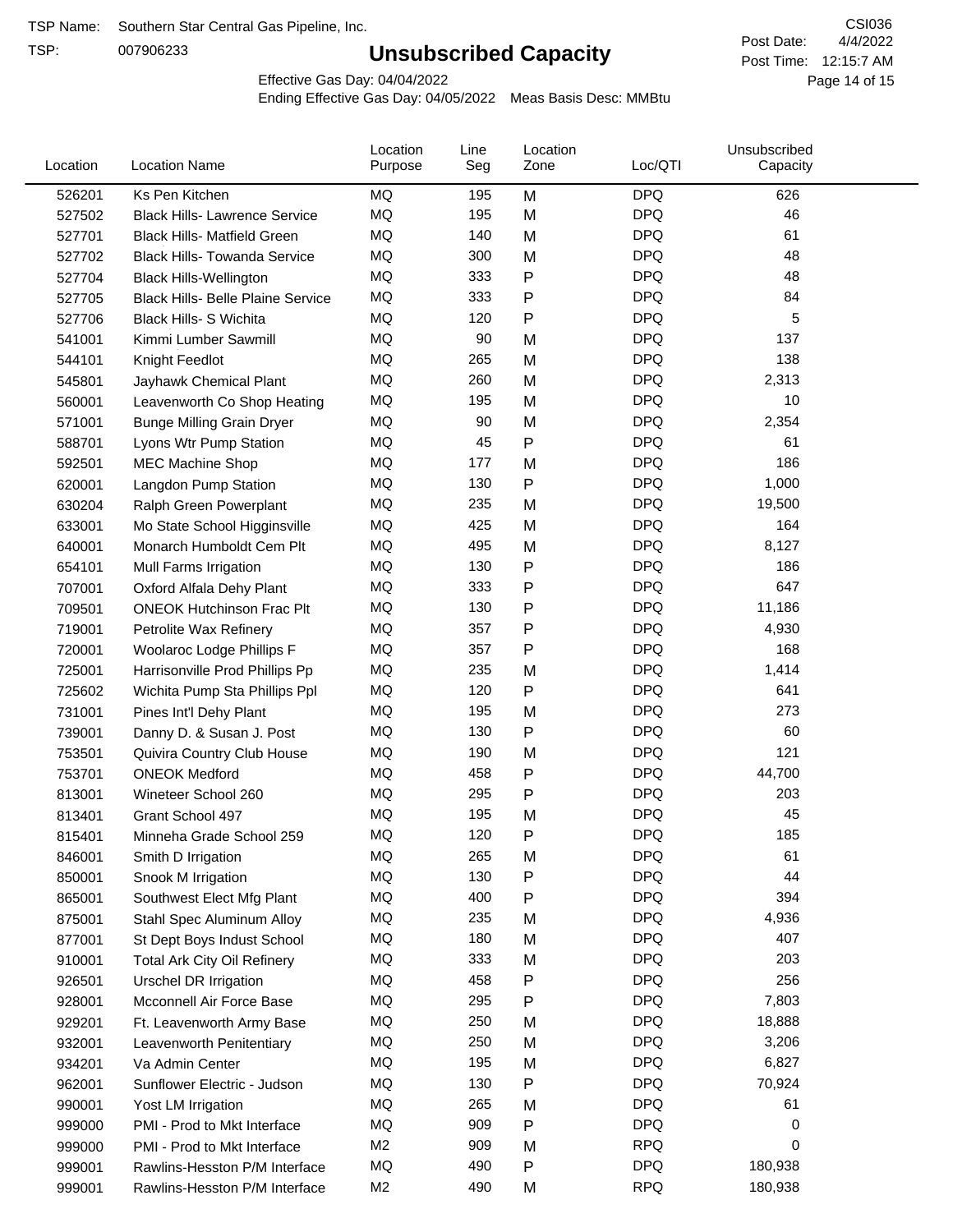TSP:

## **Unsubscribed Capacity**

4/4/2022 Page 14 of 15 Post Time: 12:15:7 AM CSI036 Post Date:

Effective Gas Day: 04/04/2022

| Location | <b>Location Name</b>                     | Location<br>Purpose | Line<br>Seg | Location<br>Zone | Loc/QTI    | Unsubscribed<br>Capacity |  |
|----------|------------------------------------------|---------------------|-------------|------------------|------------|--------------------------|--|
| 526201   | Ks Pen Kitchen                           | MQ                  | 195         | M                | <b>DPQ</b> | 626                      |  |
| 527502   | <b>Black Hills- Lawrence Service</b>     | MQ                  | 195         | M                | <b>DPQ</b> | 46                       |  |
| 527701   | <b>Black Hills- Matfield Green</b>       | MQ                  | 140         | M                | <b>DPQ</b> | 61                       |  |
| 527702   | <b>Black Hills- Towanda Service</b>      | MQ                  | 300         | M                | <b>DPQ</b> | 48                       |  |
| 527704   | <b>Black Hills-Wellington</b>            | MQ                  | 333         | $\mathsf{P}$     | <b>DPQ</b> | 48                       |  |
| 527705   | <b>Black Hills- Belle Plaine Service</b> | MQ                  | 333         | $\mathsf{P}$     | <b>DPQ</b> | 84                       |  |
| 527706   | <b>Black Hills- S Wichita</b>            | <b>MQ</b>           | 120         | P                | <b>DPQ</b> | 5                        |  |
| 541001   | Kimmi Lumber Sawmill                     | MQ                  | 90          | M                | <b>DPQ</b> | 137                      |  |
| 544101   | Knight Feedlot                           | MQ                  | 265         | M                | <b>DPQ</b> | 138                      |  |
| 545801   | Jayhawk Chemical Plant                   | MQ                  | 260         | M                | <b>DPQ</b> | 2,313                    |  |
| 560001   | Leavenworth Co Shop Heating              | MQ                  | 195         | M                | <b>DPQ</b> | 10                       |  |
| 571001   | <b>Bunge Milling Grain Dryer</b>         | MQ                  | 90          | M                | <b>DPQ</b> | 2,354                    |  |
| 588701   | Lyons Wtr Pump Station                   | <b>MQ</b>           | 45          | $\mathsf{P}$     | <b>DPQ</b> | 61                       |  |
| 592501   | <b>MEC Machine Shop</b>                  | MQ                  | 177         | M                | <b>DPQ</b> | 186                      |  |
| 620001   | Langdon Pump Station                     | MQ                  | 130         | P                | <b>DPQ</b> | 1,000                    |  |
| 630204   | Ralph Green Powerplant                   | MQ                  | 235         | M                | <b>DPQ</b> | 19,500                   |  |
| 633001   | Mo State School Higginsville             | MQ                  | 425         | M                | <b>DPQ</b> | 164                      |  |
| 640001   | Monarch Humboldt Cem Plt                 | MQ                  | 495         | M                | <b>DPQ</b> | 8,127                    |  |
| 654101   | Mull Farms Irrigation                    | MQ                  | 130         | $\mathsf{P}$     | <b>DPQ</b> | 186                      |  |
| 707001   | Oxford Alfala Dehy Plant                 | MQ                  | 333         | $\mathsf{P}$     | <b>DPQ</b> | 647                      |  |
| 709501   | <b>ONEOK Hutchinson Frac Plt</b>         | MQ                  | 130         | $\mathsf{P}$     | <b>DPQ</b> | 11,186                   |  |
| 719001   | Petrolite Wax Refinery                   | <b>MQ</b>           | 357         | $\mathsf{P}$     | <b>DPQ</b> | 4,930                    |  |
| 720001   | Woolaroc Lodge Phillips F                | MQ                  | 357         | $\mathsf{P}$     | <b>DPQ</b> | 168                      |  |
| 725001   | Harrisonville Prod Phillips Pp           | MQ                  | 235         | M                | <b>DPQ</b> | 1,414                    |  |
| 725602   | Wichita Pump Sta Phillips Ppl            | MQ                  | 120         | $\mathsf{P}$     | <b>DPQ</b> | 641                      |  |
| 731001   | Pines Int'l Dehy Plant                   | MQ                  | 195         | M                | <b>DPQ</b> | 273                      |  |
| 739001   | Danny D. & Susan J. Post                 | MQ                  | 130         | $\mathsf{P}$     | <b>DPQ</b> | 60                       |  |
| 753501   | Quivira Country Club House               | MQ                  | 190         | M                | <b>DPQ</b> | 121                      |  |
| 753701   | <b>ONEOK Medford</b>                     | MQ                  | 458         | $\mathsf{P}$     | <b>DPQ</b> | 44,700                   |  |
| 813001   | Wineteer School 260                      | MQ                  | 295         | P                | <b>DPQ</b> | 203                      |  |
| 813401   | Grant School 497                         | MQ                  | 195         | M                | <b>DPQ</b> | 45                       |  |
| 815401   | Minneha Grade School 259                 | MQ                  | 120         | ${\sf P}$        | <b>DPQ</b> | 185                      |  |
| 846001   | Smith D Irrigation                       | ΜQ                  | 265         | M                | <b>DPQ</b> | 61                       |  |
| 850001   | Snook M Irrigation                       | MQ                  | 130         | ${\sf P}$        | <b>DPQ</b> | 44                       |  |
| 865001   | Southwest Elect Mfg Plant                | MQ                  | 400         | $\mathsf{P}$     | <b>DPQ</b> | 394                      |  |
| 875001   | Stahl Spec Aluminum Alloy                | MQ                  | 235         | M                | <b>DPQ</b> | 4,936                    |  |
| 877001   | St Dept Boys Indust School               | MQ                  | 180         | M                | <b>DPQ</b> | 407                      |  |
| 910001   | <b>Total Ark City Oil Refinery</b>       | MQ                  | 333         | M                | <b>DPQ</b> | 203                      |  |
| 926501   | <b>Urschel DR Irrigation</b>             | MQ                  | 458         | $\mathsf{P}$     | <b>DPQ</b> | 256                      |  |
| 928001   | Mcconnell Air Force Base                 | MQ                  | 295         | ${\sf P}$        | <b>DPQ</b> | 7,803                    |  |
| 929201   | Ft. Leavenworth Army Base                | MQ                  | 250         | M                | <b>DPQ</b> | 18,888                   |  |
| 932001   | Leavenworth Penitentiary                 | MQ                  | 250         | M                | <b>DPQ</b> | 3,206                    |  |
| 934201   | Va Admin Center                          | MQ                  | 195         | M                | <b>DPQ</b> | 6,827                    |  |
| 962001   | Sunflower Electric - Judson              | MQ                  | 130         | $\mathsf{P}$     | <b>DPQ</b> | 70,924                   |  |
| 990001   | Yost LM Irrigation                       | MQ                  | 265         | M                | <b>DPQ</b> | 61                       |  |
| 999000   | PMI - Prod to Mkt Interface              | MQ                  | 909         | $\mathsf{P}$     | <b>DPQ</b> | 0                        |  |
| 999000   | PMI - Prod to Mkt Interface              | M <sub>2</sub>      | 909         | M                | <b>RPQ</b> | 0                        |  |
| 999001   | Rawlins-Hesston P/M Interface            | MQ                  | 490         | P                | <b>DPQ</b> | 180,938                  |  |
| 999001   | Rawlins-Hesston P/M Interface            | M <sub>2</sub>      | 490         | M                | <b>RPQ</b> | 180,938                  |  |
|          |                                          |                     |             |                  |            |                          |  |